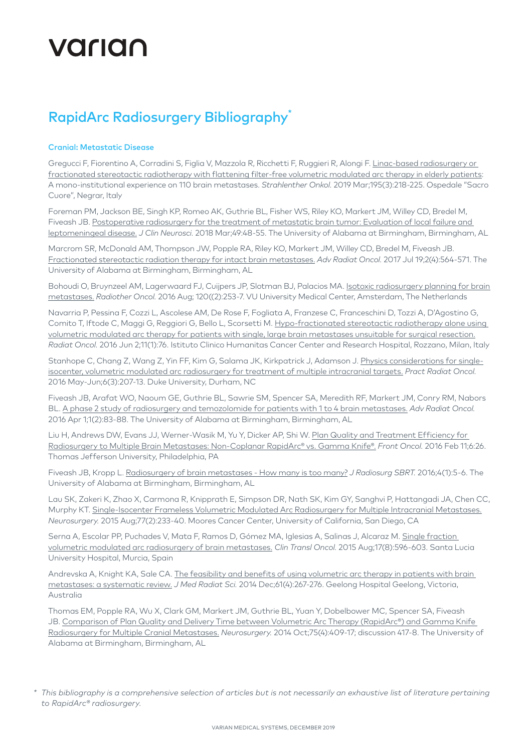# Varian

### RapidArc Radiosurgery Bibliography\*

### Cranial: Metastatic Disease

Gregucci F, Fiorentino A, Corradini S, Figlia V, Mazzola R, Ricchetti F, Ruggieri R, Alongi F. [Linac-based radiosurgery or](https://www.ncbi.nlm.nih.gov/pubmed/31628294)  [fractionated stereotactic radiotherapy with flattening filter-free volumetric modulated arc therapy in elderly patients](https://www.ncbi.nlm.nih.gov/pubmed/31628294): A mono-institutional experience on 110 brain metastases. *Strahlenther Onkol.* 2019 Mar;195(3):218-225. Ospedale "Sacro Cuore", Negrar, Italy

Foreman PM, Jackson BE, Singh KP, Romeo AK, Guthrie BL, Fisher WS, Riley KO, Markert JM, Willey CD, Bredel M, Fiveash JB. [Postoperative radiosurgery for the treatment of metastatic brain tumor](https://www.ncbi.nlm.nih.gov/pubmed/29248376): Evaluation of local failure and leptomeningeal disease. *J Clin Neurosci.* 2018 Mar;49:48-55. The University of Alabama at Birmingham, Birmingham, AL

Marcrom SR, McDonald AM, Thompson JW, Popple RA, Riley KO, Markert JM, Willey CD, Bredel M, Fiveash JB. [Fractionated stereotactic radiation therapy for intact brain metastases.](https://www.ncbi.nlm.nih.gov/pubmed/29204523) *Adv Radiat Oncol.* 2017 Jul 19;2(4):564-571. The University of Alabama at Birmingham, Birmingham, AL

Bohoudi O, Bruynzeel AM, Lagerwaard FJ, Cuijpers JP, Slotman BJ, Palacios MA. [Isotoxic radiosurgery planning for brain](http://www.ncbi.nlm.nih.gov/pubmed/27212141)  [metastases.](http://www.ncbi.nlm.nih.gov/pubmed/27212141) *Radiother Oncol.* 2016 Aug; 120((2):253-7. VU University Medical Center, Amsterdam, The Netherlands

Navarria P, Pessina F, Cozzi L, Ascolese AM, De Rose F, Fogliata A, Franzese C, Franceschini D, Tozzi A, D'Agostino G, Comito T, Iftode C, Maggi G, Reggiori G, Bello L, Scorsetti M. [Hypo-fractionated stereotactic radiotherapy alone using](http://www.ncbi.nlm.nih.gov/pubmed/27249940)  [volumetric modulated arc therapy for patients with single, large brain metastases unsuitable for surgical resection.](http://www.ncbi.nlm.nih.gov/pubmed/27249940) *Radiat Oncol.* 2016 Jun 2;11(1):76. Istituto Clinico Humanitas Cancer Center and Research Hospital, Rozzano, Milan, Italy

Stanhope C, Chang Z, Wang Z, Yin FF, Kim G, Salama JK, Kirkpatrick J, Adamson J. [Physics considerations for single](http://www.ncbi.nlm.nih.gov/pubmed/26723551)[isocenter, volumetric modulated arc radiosurgery for treatment of multiple intracranial targets.](http://www.ncbi.nlm.nih.gov/pubmed/26723551) *Pract Radiat Oncol.* 2016 May-Jun;6(3):207-13. Duke University, Durham, NC

Fiveash JB, Arafat WO, Naoum GE, Guthrie BL, Sawrie SM, Spencer SA, Meredith RF, Markert JM, Conry RM, Nabors BL. [A phase 2 study of radiosurgery and temozolomide for patients with 1 to 4 brain metastases.](https://www.ncbi.nlm.nih.gov/pubmed/28740873) *Adv Radiat Oncol.* 2016 Apr 1;1(2):83-88. The University of Alabama at Birmingham, Birmingham, AL

Liu H, Andrews DW, Evans JJ, Werner-Wasik M, Yu Y, Dicker AP, Shi W. [Plan Quality and Treatment Efficiency for](http://www.ncbi.nlm.nih.gov/pubmed/26904504)  [Radiosurgery to Multiple Brain Metastases: Non-Coplanar RapidArc® vs. Gamma Knife®.](http://www.ncbi.nlm.nih.gov/pubmed/26904504) *Front Oncol.* 2016 Feb 11;6:26. Thomas Jefferson University, Philadelphia, PA

Fiveash JB, Kropp L. [Radiosurgery of brain metastases - How many is too many?](https://www.ncbi.nlm.nih.gov/pubmed/29296420) *J Radiosurg SBRT.* 2016;4(1):5-6. The University of Alabama at Birmingham, Birmingham, AL

Lau SK, Zakeri K, Zhao X, Carmona R, Knipprath E, Simpson DR, Nath SK, Kim GY, Sanghvi P, Hattangadi JA, Chen CC, Murphy KT. [Single-Isocenter Frameless Volumetric Modulated Arc Radiosurgery for Multiple Intracranial Metastases.](http://www.ncbi.nlm.nih.gov/pubmed/25856109) *Neurosurgery.* 2015 Aug;77(2):233-40. Moores Cancer Center, University of California, San Diego, CA

Serna A, Escolar PP, Puchades V, Mata F, Ramos D, Gómez MA, Iglesias A, Salinas J, Alcaraz M. [Single fraction](http://www.ncbi.nlm.nih.gov/pubmed/25775918)  [volumetric modulated arc radiosurgery of brain metastases.](http://www.ncbi.nlm.nih.gov/pubmed/25775918) *Clin Transl Oncol.* 2015 Aug;17(8):596-603. Santa Lucia University Hospital, Murcia, Spain

Andrevska A, Knight KA, Sale CA. [The feasibility and benefits of using volumetric arc therapy in patients with brain](http://www.ncbi.nlm.nih.gov/pubmed/25598981)  [metastases: a systematic review.](http://www.ncbi.nlm.nih.gov/pubmed/25598981) *J Med Radiat Sci.* 2014 Dec;61(4):267-276. Geelong Hospital Geelong, Victoria, Australia

Thomas EM, Popple RA, Wu X, Clark GM, Markert JM, Guthrie BL, Yuan Y, Dobelbower MC, Spencer SA, Fiveash JB. [Comparison of Plan Quality and Delivery Time between Volumetric Arc Therapy \(RapidArc®\) and Gamma Knife](http://www.ncbi.nlm.nih.gov/pubmed/24871143)  [Radiosurgery for Multiple Cranial Metastases.](http://www.ncbi.nlm.nih.gov/pubmed/24871143) *Neurosurgery.* 2014 Oct;75(4):409-17; discussion 417-8. The University of Alabama at Birmingham, Birmingham, AL

*<sup>\*</sup> This bibliography is a comprehensive selection of articles but is not necessarily an exhaustive list of literature pertaining to RapidArc® radiosurgery.*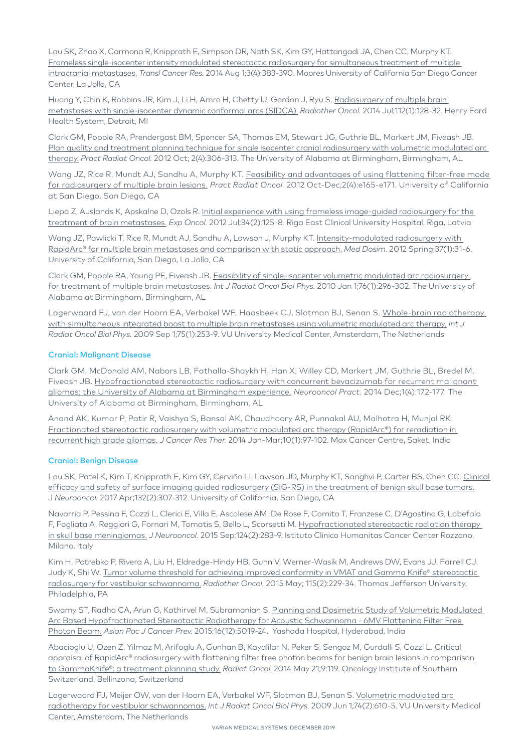Lau SK, Zhao X, Carmona R, Knipprath E, Simpson DR, Nath SK, Kim GY, Hattangadi JA, Chen CC, Murphy KT. [Frameless single-isocenter intensity modulated stereotactic radiosurgery for simultaneous treatment of multiple](http://www.ncbi.nlm.nih.gov/pubmed/25821723)  [intracranial metastases.](http://www.ncbi.nlm.nih.gov/pubmed/25821723) *Transl Cancer Res.* 2014 Aug 1;3(4):383-390. Moores University of California San Diego Cancer Center, La Jolla, CA

Huang Y, Chin K, Robbins JR, Kim J, Li H, Amro H, Chetty IJ, Gordon J, Ryu S. Radiosurgery of multiple brain [metastases with single-isocenter dynamic conformal arcs \(SIDCA\).](http://www.ncbi.nlm.nih.gov/pubmed/25821723) *Radiother Oncol.* 2014 Jul;112(1):128-32. Henry Ford Health System, Detroit, MI

Clark GM, Popple RA, Prendergast BM, Spencer SA, Thomas EM, Stewart JG, Guthrie BL, Markert JM, Fiveash JB. [Plan quality and treatment planning technique for single isocenter cranial radiosurgery with volumetric modulated arc](http://www.ncbi.nlm.nih.gov/pubmed/24674169)  [therapy.](http://www.ncbi.nlm.nih.gov/pubmed/24674169) *Pract Radiat Oncol.* 2012 Oct; 2(4):306-313. The University of Alabama at Birmingham, Birmingham, AL

Wang JZ, Rice R, Mundt AJ, Sandhu A, Murphy KT. Feasibility and advantages of using flattening filter-free mode [for radiosurgery of multiple brain lesions.](http://www.ncbi.nlm.nih.gov/pubmed/24674180) *Pract Radiat Oncol.* 2012 Oct-Dec;2(4):e165-e171. University of California at San Diego, San Diego, CA

Liepa Z, Auslands K, Apskalne D, Ozols R. Initial experience with using frameless image-guided radiosurgery for the [treatment of brain metastases.](http://www.ncbi.nlm.nih.gov/pubmed/23013766) *Exp Oncol.* 2012 Jul;34(2):125-8. Riga East Clinical University Hospital, Riga, Latvia

Wang JZ, Pawlicki T, Rice R, Mundt AJ, Sandhu A, Lawson J, Murphy KT. Intensity-modulated radiosurgery with [RapidArc® for multiple brain metastases and comparison with static approach.](http://www.ncbi.nlm.nih.gov/pubmed/21705211) *Med Dosim.* 2012 Spring;37(1):31-6. University of California, San Diego, La Jolla, CA

Clark GM, Popple RA, Young PE, Fiveash JB. [Feasibility of single-isocenter volumetric modulated arc radiosurgery](http://www.ncbi.nlm.nih.gov/pubmed/19836151)  [for treatment of multiple brain metastases.](http://www.ncbi.nlm.nih.gov/pubmed/19836151) *Int J Radiat Oncol Biol Phys.* 2010 Jan 1;76(1):296-302. The University of Alabama at Birmingham, Birmingham, AL

Lagerwaard FJ, van der Hoorn EA, Verbakel WF, Haasbeek CJ, Slotman BJ, Senan S. [Whole-brain radiotherapy](http://www.ncbi.nlm.nih.gov/pubmed/19577856)  [with simultaneous integrated boost to multiple brain metastases using volumetric modulated arc therapy.](http://www.ncbi.nlm.nih.gov/pubmed/19577856) *Int J Radiat Oncol Biol Phys.* 2009 Sep 1;75(1):253-9. VU University Medical Center, Amsterdam, The Netherlands

### Cranial: Malignant Disease

Clark GM, McDonald AM, Nabors LB, Fathalla-Shaykh H, Han X, Willey CD, Markert JM, Guthrie BL, Bredel M, Fiveash JB. Hypofractionated stereotactic radiosurgery with concurrent bevacizumab for recurrent malignant [gliomas: the University of Alabama at Birmingham experience.](https://www.ncbi.nlm.nih.gov/pubmed/26034629) *Neurooncol Pract.* 2014 Dec;1(4):172-177. The University of Alabama at Birmingham, Birmingham, AL

Anand AK, Kumar P, Patir R, Vaishya S, Bansal AK, Chaudhoory AR, Punnakal AU, Malhotra H, Munjal RK. [Fractionated stereotactic radiosurgery with volumetric modulated arc therapy \(RapidArc®\) for reradiation in](http://www.ncbi.nlm.nih.gov/pubmed/24762494)  [recurrent high grade gliomas.](http://www.ncbi.nlm.nih.gov/pubmed/24762494) *J Cancer Res Ther.* 2014 Jan-Mar;10(1):97-102. Max Cancer Centre, Saket, India

#### Cranial: Benign Disease

Lau SK, Patel K, Kim T, Knipprath E, Kim GY, Cerviño LI, Lawson JD, Murphy KT, Sanghvi P, Carter BS, Chen CC. [Clinical](https://www.ncbi.nlm.nih.gov/pubmed/28120301)  [efficacy and safety of surface imaging guided radiosurgery \(SIG-RS\) in the treatment of benign skull base tumors.](https://www.ncbi.nlm.nih.gov/pubmed/28120301) J *Neurooncol.* 2017 Apr;132(2):307-312. University of California, San Diego, CA

Navarria P, Pessina F, Cozzi L, Clerici E, Villa E, Ascolese AM, De Rose F, Comito T, Franzese C, D'Agostino G, Lobefalo F, Fogliata A, Reggiori G, Fornari M, Tomatis S, Bello L, Scorsetti M. Hypofractionated stereotactic radiation therapy [in skull base meningiomas.](http://www.ncbi.nlm.nih.gov/pubmed/26040487) *J Neurooncol.* 2015 Sep;124(2):283-9. Istituto Clinico Humanitas Cancer Center Rozzano, Milano, Italy

Kim H, Potrebko P, Rivera A, Liu H, Eldredge-Hindy HB, Gunn V, Werner-Wasik M, Andrews DW, Evans JJ, Farrell CJ, Judy K, Shi W. [Tumor volume threshold for achieving improved conformity in VMAT and Gamma Knife® stereotactic](http://www.ncbi.nlm.nih.gov/pubmed/25998805)  [radiosurgery for vestibular schwannoma.](http://www.ncbi.nlm.nih.gov/pubmed/25998805) *Radiother Oncol.* 2015 May; 115(2):229-34. Thomas Jefferson University, Philadelphia, PA

Swamy ST, Radha CA, Arun G, Kathirvel M, Subramanian S. Planning and Dosimetric Study of Volumetric Modulated [Arc Based Hypofractionated Stereotactic Radiotherapy for Acoustic Schwannoma - 6MV Flattening Filter Free](http://www.ncbi.nlm.nih.gov/pubmed/26163634)  [Photon Beam.](http://www.ncbi.nlm.nih.gov/pubmed/26163634) *Asian Pac J Cancer Prev*. 2015;16(12):5019-24. Yashoda Hospital, Hyderabad, India

Abacioglu U, Ozen Z, Yilmaz M, Arifoglu A, Gunhan B, Kayalilar N, Peker S, Sengoz M, Gurdalli S, Cozzi L. Critical [appraisal of RapidArc® radiosurgery with flattening filter free photon beams for benign brain lesions in comparison](http://www.ncbi.nlm.nih.gov/pubmed/24884967)  [to GammaKnife®: a treatment planning study.](http://www.ncbi.nlm.nih.gov/pubmed/24884967) *Radiat Oncol*. 2014 May 21;9:119. Oncology Institute of Southern Switzerland, Bellinzona, Switzerland

Lagerwaard FJ, Meijer OW, van der Hoorn EA, Verbakel WF, Slotman BJ, Senan S. Volumetric modulated arc [radiotherapy for vestibular schwannomas.](http://www.ncbi.nlm.nih.gov/pubmed/19427560) *Int J Radiat Oncol Biol Phys.* 2009 Jun 1;74(2):610-5. VU University Medical Center, Amsterdam, The Netherlands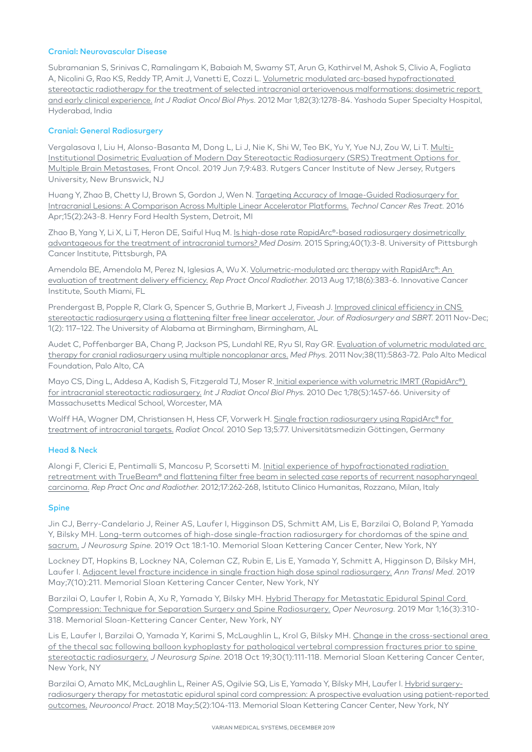#### Cranial: Neurovascular Disease

Subramanian S, Srinivas C, Ramalingam K, Babaiah M, Swamy ST, Arun G, Kathirvel M, Ashok S, Clivio A, Fogliata A, Nicolini G, Rao KS, Reddy TP, Amit J, Vanetti E, Cozzi L. [Volumetric modulated arc-based hypofractionated](http://www.ncbi.nlm.nih.gov/pubmed/21489706)  [stereotactic radiotherapy for the treatment of selected intracranial arteriovenous malformations: dosimetric report](http://www.ncbi.nlm.nih.gov/pubmed/21489706)  [and early clinical experience.](http://www.ncbi.nlm.nih.gov/pubmed/21489706) *Int J Radiat Oncol Biol Phys.* 2012 Mar 1;82(3):1278-84. Yashoda Super Specialty Hospital, Hyderabad, India

#### Cranial: General Radiosurgery

Vergalasova I, Liu H, Alonso-Basanta M, Dong L, Li J, Nie K, Shi W, Teo BK, Yu Y, Yue NJ, Zou W, Li T. [Multi-](https://www.ncbi.nlm.nih.gov/pubmed/31231614)[Institutional Dosimetric Evaluation of Modern Day Stereotactic Radiosurgery \(SRS\) Treatment Options for](https://www.ncbi.nlm.nih.gov/pubmed/31231614)  [Multiple Brain Metastases.](https://www.ncbi.nlm.nih.gov/pubmed/31231614) Front Oncol. 2019 Jun 7;9:483. Rutgers Cancer Institute of New Jersey, Rutgers University, New Brunswick, NJ

Huang Y, Zhao B, Chetty IJ, Brown S, Gordon J, Wen N. [Targeting Accuracy of Image-Guided Radiosurgery for](http://www.ncbi.nlm.nih.gov/pubmed/25759427)  [Intracranial Lesions: A Comparison Across Multiple Linear Accelerator Platforms.](http://www.ncbi.nlm.nih.gov/pubmed/25759427) *Technol Cancer Res Treat.* 2016 Apr;15(2):243-8. Henry Ford Health System, Detroit, MI

Zhao B, Yang Y, Li X, Li T, Heron DE, Saiful Huq M. [Is high-dose rate RapidArc®-based radiosurgery dosimetrically](http://www.ncbi.nlm.nih.gov/pubmed/25645205)  [advantageous for the treatment of intracranial tumors?](http://www.ncbi.nlm.nih.gov/pubmed/25645205) *Med Dosim.* 2015 Spring;40(1):3-8. University of Pittsburgh Cancer Institute, Pittsburgh, PA

Amendola BE, Amendola M, Perez N, Iglesias A, Wu X. [Volumetric-modulated arc therapy with RapidArc®: An](http://http://www.ncbi.nlm.nih.gov/pubmed/24416583)  [evaluation of treatment delivery efficiency.](http://http://www.ncbi.nlm.nih.gov/pubmed/24416583) *Rep Pract Oncol Radiother.* 2013 Aug 17;18(6):383-6. Innovative Cancer Institute, South Miami, FL

Prendergast B, Popple R, Clark G, Spencer S, Guthrie B, Markert J, Fiveash J. Improved clinical efficiency in CNS [stereotactic radiosurgery using a flattening filter free linear accelerator.](http://www.oldcitypublishing.com/journals/jrsbrt-home/jrsbrt-issue-contents/jrsbrt-volume-1-number-2/jrsbrt-1-2-p-117-122/) *Jour. of Radiosurgery and SBRT.* 2011 Nov-Dec; 1(2): 117–122. The University of Alabama at Birmingham, Birmingham, AL

Audet C, Poffenbarger BA, Chang P, Jackson PS, Lundahl RE, Ryu SI, Ray GR. [Evaluation of volumetric modulated arc](http://www.ncbi.nlm.nih.gov/pubmed/22047350)  [therapy for cranial radiosurgery using multiple noncoplanar arcs.](http://www.ncbi.nlm.nih.gov/pubmed/22047350) *Med Phys.* 2011 Nov;38(11):5863-72. Palo Alto Medical Foundation, Palo Alto, CA

Mayo CS, Ding L, Addesa A, Kadish S, Fitzgerald TJ, Moser R. Initial experience with volumetric IMRT (RapidArc®) [for intracranial stereotactic radiosurgery.](http://www.ncbi.nlm.nih.gov/pubmed/20207494) *Int J Radiat Oncol Biol Phys.* 2010 Dec 1;78(5):1457-66. University of Massachusetts Medical School, Worcester, MA

Wolff HA, Wagner DM, Christiansen H, Hess CF, Vorwerk H. Single fraction radiosurgery using RapidArc® for [treatment of intracranial targets.](http://www.ncbi.nlm.nih.gov/pubmed/20836871) *Radiat Oncol.* 2010 Sep 13;5:77. Universitätsmedizin Göttingen, Germany

#### Head & Neck

Alongi F, Clerici E, Pentimalli S, Mancosu P, Scorsetti M. [Initial experience of hypofractionated radiation](http://www.ncbi.nlm.nih.gov/pubmed/24669306)  [retreatment with TrueBeam® and flattening filter free beam in selected case reports of recurrent nasopharyngeal](http://www.ncbi.nlm.nih.gov/pubmed/24669306)  [carcinoma.](http://www.ncbi.nlm.nih.gov/pubmed/24669306) *Rep Pract Onc and Radiother.* 2012;17:262-268, Istituto Clinico Humanitas, Rozzano, Milan, Italy

#### Spine

Jin CJ, Berry-Candelario J, Reiner AS, Laufer I, Higginson DS, Schmitt AM, Lis E, Barzilai O, Boland P, Yamada Y, Bilsky MH. Long-term outcomes of high-dose single-fraction radiosurgery for chordomas of the spine and sacrum. *J Neurosurg Spine*. 2019 Oct 18:1-10. Memorial Sloan Kettering Cancer Center, New York, NY

Lockney DT, Hopkins B, Lockney NA, Coleman CZ, Rubin E, Lis E, Yamada Y, Schmitt A, Higginson D, Bilsky MH, Laufer I. [Adjacent level fracture incidence in single fraction high dose spinal radiosurgery.](https://www.ncbi.nlm.nih.gov/pubmed/31297376) *Ann Transl Med.* 2019 May;7(10):211. Memorial Sloan Kettering Cancer Center, New York, NY

Barzilai O, Laufer I, Robin A, Xu R, Yamada Y, Bilsky MH. [Hybrid Therapy for Metastatic Epidural Spinal Cord](https://www.ncbi.nlm.nih.gov/pubmed/29889256)  [Compression: Technique for Separation Surgery and Spine Radiosurgery.](https://www.ncbi.nlm.nih.gov/pubmed/29889256) *Oper Neurosurg.* 2019 Mar 1;16(3):310- 318. Memorial Sloan-Kettering Cancer Center, New York, NY

Lis E, Laufer I, Barzilai O, Yamada Y, Karimi S, McLaughlin L, Krol G, Bilsky MH. Change in the cross-sectional area [of the thecal sac following balloon kyphoplasty for pathological vertebral compression fractures prior to spine](https://www.ncbi.nlm.nih.gov/pubmed/30497230)  [stereotactic radiosurgery.](https://www.ncbi.nlm.nih.gov/pubmed/30497230) *J Neurosurg Spine.* 2018 Oct 19;30(1):111-118. Memorial Sloan Kettering Cancer Center, New York, NY

Barzilai O, Amato MK, McLaughlin L, Reiner AS, Ogilvie SQ, Lis E, Yamada Y, Bilsky MH, Laufer I. [Hybrid surgery](https://www.ncbi.nlm.nih.gov/pubmed/29770224)[radiosurgery therapy for metastatic epidural spinal cord compression: A prospective evaluation using patient-reported](https://www.ncbi.nlm.nih.gov/pubmed/29770224)  [outcomes.](https://www.ncbi.nlm.nih.gov/pubmed/29770224) *Neurooncol Pract.* 2018 May;5(2):104-113. Memorial Sloan Kettering Cancer Center, New York, NY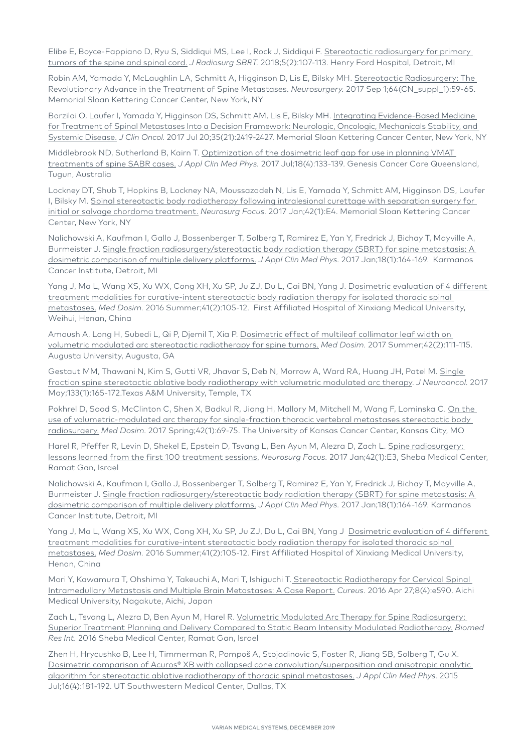Elibe E, Boyce-Fappiano D, Ryu S, Siddiqui MS, Lee I, Rock J, Siddiqui F. Stereotactic radiosurgery for primary [tumors of the spine and spinal cord.](https://www.ncbi.nlm.nih.gov/pmc/articles/PMC5893451/) *J Radiosurg SBRT.* 2018;5(2):107-113. Henry Ford Hospital, Detroit, MI

Robin AM, Yamada Y, McLaughlin LA, Schmitt A, Higginson D, Lis E, Bilsky MH. Stereotactic Radiosurgery: The [Revolutionary Advance in the Treatment of Spine Metastases.](https://www.ncbi.nlm.nih.gov/pubmed/28899042) *Neurosurgery.* 2017 Sep 1;64(CN\_suppl\_1):59-65. Memorial Sloan Kettering Cancer Center, New York, NY

Barzilai O, Laufer I, Yamada Y, Higginson DS, Schmitt AM, Lis E, Bilsky MH. Integrating Evidence-Based Medicine [for Treatment of Spinal Metastases Into a Decision Framework: Neurologic, Oncologic, Mechanicals Stability, and](https://www.ncbi.nlm.nih.gov/pubmed/28640703)  [Systemic Disease.](https://www.ncbi.nlm.nih.gov/pubmed/28640703) *J Clin Oncol.* 2017 Jul 20;35(21):2419-2427. Memorial Sloan Kettering Cancer Center, New York, NY

Middlebrook ND, Sutherland B, Kairn T. [Optimization of the dosimetric leaf gap for use in planning VMAT](https://www.ncbi.nlm.nih.gov/pubmed/28574219)  [treatments of spine SABR cases.](https://www.ncbi.nlm.nih.gov/pubmed/28574219) *J Appl Clin Med Phys.* 2017 Jul;18(4):133-139. Genesis Cancer Care Queensland, Tugun, Australia

Lockney DT, Shub T, Hopkins B, Lockney NA, Moussazadeh N, Lis E, Yamada Y, Schmitt AM, Higginson DS, Laufer I, Bilsky M. [Spinal stereotactic body radiotherapy following intralesional curettage with separation surgery for](https://www.ncbi.nlm.nih.gov/pubmed/28041314)  [initial or salvage chordoma treatment.](https://www.ncbi.nlm.nih.gov/pubmed/28041314) *Neurosurg Focus.* 2017 Jan;42(1):E4. Memorial Sloan Kettering Cancer Center, New York, NY

Nalichowski A, Kaufman I, Gallo J, Bossenberger T, Solberg T, Ramirez E, Yan Y, Fredrick J, Bichay T, Mayville A, Burmeister J. Single fraction radiosurgery/stereotactic body radiation therapy (SBRT) for spine metastasis: A [dosimetric comparison of multiple delivery platforms.](https://www.ncbi.nlm.nih.gov/pubmed/28291927) *J Appl Clin Med Phys.* 2017 Jan;18(1):164-169. Karmanos Cancer Institute, Detroit, MI

Yang J, Ma L, Wang XS, Xu WX, Cong XH, Xu SP, Ju ZJ, Du L, Cai BN, Yang J. Dosimetric evaluation of 4 different [treatment modalities for curative-intent stereotactic body radiation therapy for isolated thoracic spinal](https://www.ncbi.nlm.nih.gov/pubmed/26831753)  [metastases.](https://www.ncbi.nlm.nih.gov/pubmed/26831753) *Med Dosim.* 2016 Summer;41(2):105-12. First Affiliated Hospital of Xinxiang Medical University, Weihui, Henan, China

Amoush A, Long H, Subedi L, Qi P, Djemil T, Xia P. Dosimetric effect of multileaf collimator leaf width on [volumetric modulated arc stereotactic radiotherapy for spine tumors.](https://www.ncbi.nlm.nih.gov/pubmed/28457723) *Med Dosim.* 2017 Summer;42(2):111-115. Augusta University, Augusta, GA

Gestaut MM, Thawani N, Kim S, Gutti VR, Jhavar S, Deb N, Morrow A, Ward RA, Huang JH, Patel M. [Single](https://www.ncbi.nlm.nih.gov/pubmed/28409420)  [fraction spine stereotactic ablative body radiotherapy with volumetric modulated arc therapy](https://www.ncbi.nlm.nih.gov/pubmed/28409420). *J Neurooncol.* 2017 May;133(1):165-172.Texas A&M University, Temple, TX

Pokhrel D, Sood S, McClinton C, Shen X, Badkul R, Jiang H, Mallory M, Mitchell M, Wang F, Lominska C. On the [use of volumetric-modulated arc therapy for single-fraction thoracic vertebral metastases stereotactic body](https://www.ncbi.nlm.nih.gov/pubmed/28129972)  [radiosurgery.](https://www.ncbi.nlm.nih.gov/pubmed/28129972) *Med Dosim.* 2017 Spring;42(1):69-75. The University of Kansas Cancer Center, Kansas City, MO

Harel R, Pfeffer R, Levin D, Shekel E, Epstein D, Tsvang L, Ben Ayun M, Alezra D, Zach L. Spine radiosurgery: [lessons learned from the first 100 treatment sessions.](https://www.ncbi.nlm.nih.gov/pubmed/28041321) *Neurosurg Focus.* 2017 Jan;42(1):E3, Sheba Medical Center, Ramat Gan, Israel

Nalichowski A, Kaufman I, Gallo J, Bossenberger T, Solberg T, Ramirez E, Yan Y, Fredrick J, Bichay T, Mayville A, Burmeister J. [Single fraction radiosurgery/stereotactic body radiation therapy \(SBRT\) for spine metastasis: A](https://www.ncbi.nlm.nih.gov/pubmed/28291927)  [dosimetric comparison of multiple delivery platforms.](https://www.ncbi.nlm.nih.gov/pubmed/28291927) *J Appl Clin Med Phys.* 2017 Jan;18(1):164-169. Karmanos Cancer Institute, Detroit, MI

Yang J, Ma L, Wang XS, Xu WX, Cong XH, Xu SP, Ju ZJ, Du L, Cai BN, Yang J [Dosimetric evaluation of 4 different](https://www.ncbi.nlm.nih.gov/pubmed/26831753)  [treatment modalities for curative-intent stereotactic body radiation therapy for isolated thoracic spinal](https://www.ncbi.nlm.nih.gov/pubmed/26831753)  [metastases.](https://www.ncbi.nlm.nih.gov/pubmed/26831753) *Med Dosim.* 2016 Summer;41(2):105-12. First Affiliated Hospital of Xinxiang Medical University, Henan, China

Mori Y, Kawamura T, Ohshima Y, Takeuchi A, Mori T, Ishiguchi T[. Stereotactic Radiotherapy for Cervical Spinal](https://www.ncbi.nlm.nih.gov/pubmed/27284497)  [Intramedullary Metastasis and Multiple Brain Metastases: A Case Report.](https://www.ncbi.nlm.nih.gov/pubmed/27284497) *Cureus.* 2016 Apr 27;8(4):e590. Aichi Medical University, Nagakute, Aichi, Japan

Zach L, Tsvang L, Alezra D, Ben Ayun M, Harel R. [Volumetric Modulated Arc Therapy for Spine Radiosurgery:](https://www.ncbi.nlm.nih.gov/pubmed/26885513)  [Superior Treatment Planning and Delivery Compared to Static Beam Intensity Modulated Radiotherapy.](https://www.ncbi.nlm.nih.gov/pubmed/26885513) *Biomed Res Int.* 2016 Sheba Medical Center, Ramat Gan, Israel

Zhen H, Hrycushko B, Lee H, Timmerman R, Pompoš A, Stojadinovic S, Foster R, Jiang SB, Solberg T, Gu X. [Dosimetric comparison of Acuros® XB with collapsed cone convolution/superposition and anisotropic analytic](https://www.ncbi.nlm.nih.gov/pubmed/26219014)  [algorithm for stereotactic ablative radiotherapy of thoracic spinal metastases.](https://www.ncbi.nlm.nih.gov/pubmed/26219014) *J Appl Clin Med Phys.* 2015 Jul;16(4):181-192. UT Southwestern Medical Center, Dallas, TX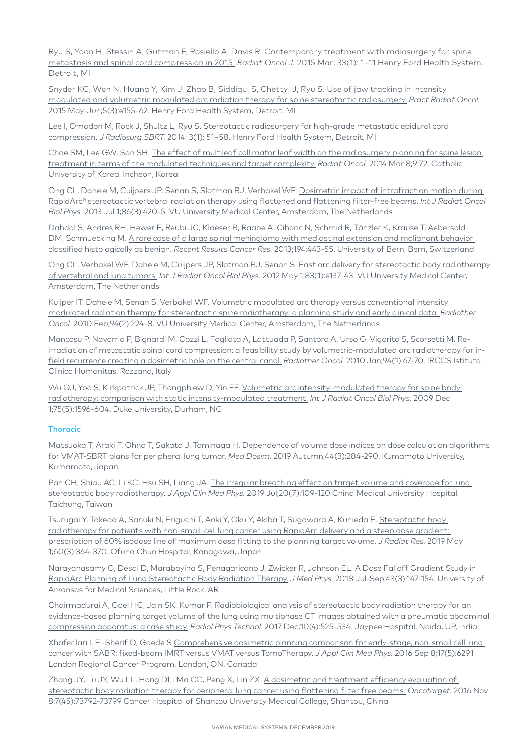Ryu S, Yoon H, Stessin A, Gutman F, Rosiello A, Davis R. Contemporary treatment with radiosurgery for spine [metastasis and spinal cord compression in 2015.](https://www.ncbi.nlm.nih.gov/pmc/articles/PMC4394063/) *Radiat Oncol J.* 2015 Mar; 33(1): 1–11 Henry Ford Health System, Detroit, MI

Snyder KC, Wen N, Huang Y, Kim J, Zhao B, Siddiqui S, Chetty IJ, Ryu S. [Use of jaw tracking in intensity](http://www.ncbi.nlm.nih.gov/pubmed/25413433)  [modulated and volumetric modulated arc radiation therapy for spine stereotactic radiosurgery.](http://www.ncbi.nlm.nih.gov/pubmed/25413433) *Pract Radiat Oncol.* 2015 May-Jun;5(3):e155-62. Henry Ford Health System, Detroit, MI

Lee I, Omodon M, Rock J, Shultz L, Ryu S. Stereotactic radiosurgery for high-grade metastatic epidural cord [compression.](https://www.ncbi.nlm.nih.gov/pubmed/29296385) *J Radiosurg SBRT.* 2014; 3(1): 51–58. Henry Ford Health System, Detroit, MI

Chae SM, Lee GW, Son SH. [The effect of multileaf collimator leaf width on the radiosurgery planning for spine lesion](http://www.ncbi.nlm.nih.gov/pubmed/24606890)  [treatment in terms of the modulated techniques and target complexity.](http://www.ncbi.nlm.nih.gov/pubmed/24606890) *Radiat Oncol.* 2014 Mar 8;9:72. Catholic University of Korea, Incheon, Korea

Ong CL, Dahele M, Cuijpers JP, Senan S, Slotman BJ, Verbakel WF. [Dosimetric impact of intrafraction motion during](http://www.ncbi.nlm.nih.gov/pubmed/23523183)  [RapidArc® stereotactic vertebral radiation therapy using flattened and flattening filter-free beams.](http://www.ncbi.nlm.nih.gov/pubmed/23523183) *Int J Radiat Oncol Biol Phys.* 2013 Jul 1;86(3):420-5. VU University Medical Center, Amsterdam, The Netherlands

Dahdal S, Andres RH, Hewer E, Reubi JC, Klaeser B, Raabe A, Cihoric N, Schmid R, Tänzler K, Krause T, Aebersold DM, Schmuecking M. [A rare case of a large spinal meningioma with mediastinal extension and malignant behavior](http://www.ncbi.nlm.nih.gov/pubmed/22918774)  [classified histologically as benign.](http://www.ncbi.nlm.nih.gov/pubmed/22918774) *Recent Results Cancer Res.* 2013;194:443-55. University of Bern, Bern, Switzerland

Ong CL, Verbakel WF, Dahele M, Cuijpers JP, Slotman BJ, Senan S [Fast arc delivery for stereotactic body radiotherapy](https://www.ncbi.nlm.nih.gov/pubmed/22365628) [of vertebral and lung tumors.](https://www.ncbi.nlm.nih.gov/pubmed/22365628) *Int J Radiat Oncol Biol Phys.* 2012 May 1;83(1):e137-43. VU University Medical Center, Amsterdam, The Netherlands

Kuijper IT, Dahele M, Senan S, Verbakel WF. [Volumetric modulated arc therapy versus conventional intensity](http://www.ncbi.nlm.nih.gov/pubmed/20122745)  [modulated radiation therapy for stereotactic spine radiotherapy: a planning study and early clinical data.](http://www.ncbi.nlm.nih.gov/pubmed/20122745) *Radiother Oncol.* 2010 Feb;94(2):224-8. VU University Medical Center, Amsterdam, The Netherlands

Mancosu P, Navarria P, Bignardi M, Cozzi L, Fogliata A, Lattuada P, Santoro A, Urso G, Vigorito S, Scorsetti M. [Re](http://www.ncbi.nlm.nih.gov/pubmed/20022395)[irradiation of metastatic spinal cord compression: a feasibility study by volumetric-modulated arc radiotherapy for in](http://www.ncbi.nlm.nih.gov/pubmed/20022395)[field recurrence creating a dosimetric hole on the central canal.](http://www.ncbi.nlm.nih.gov/pubmed/20022395) *Radiother Oncol.* 2010 Jan;94(1):67-70. IRCCS Istituto Clinico Humanitas, Rozzano, Italy

Wu QJ, Yoo S, Kirkpatrick JP, Thongphiew D, Yin FF. Volumetric arc intensity-modulated therapy for spine body [radiotherapy: comparison with static intensity-modulated treatment.](http://www.ncbi.nlm.nih.gov/pubmed/19733447) *Int J Radiat Oncol Biol Phys.* 2009 Dec 1;75(5):1596-604. Duke University, Durham, NC

#### **Thoracic**

Matsuoka T, Araki F, Ohno T, Sakata J, Tominaga H. [Dependence of volume dose indices on dose calculation algorithms](https://www.ncbi.nlm.nih.gov/pubmed/30455092)  [for VMAT-SBRT plans for peripheral lung tumor.](https://www.ncbi.nlm.nih.gov/pubmed/30455092) *Med Dosim.* 2019 Autumn;44(3):284-290. Kumamoto University, Kumamoto, Japan

Pan CH, Shiau AC, Li KC, Hsu SH, Liang JA. The irregular breathing effect on target volume and coverage for lung [stereotactic body radiotherapy.](https://www.ncbi.nlm.nih.gov/pubmed/31207034) *J Appl Clin Med Phys.* 2019 Jul;20(7):109-120 China Medical University Hospital, Taichung, Taiwan

Tsurugai Y, Takeda A, Sanuki N, Eriguchi T, Aoki Y, Oku Y, Akiba T, Sugawara A, Kunieda E. Stereotactic body [radiotherapy for patients with non-small-cell lung cancer using RapidArc delivery and a steep dose gradient:](https://www.ncbi.nlm.nih.gov/pubmed/30668868)  [prescription of 60% isodose line of maximum dose fitting to the planning target volume.](https://www.ncbi.nlm.nih.gov/pubmed/30668868) *J Radiat Res.* 2019 May 1;60(3):364-370. Ofuna Chuo Hospital, Kanagawa, Japan

Narayanasamy G, Desai D, Maraboyina S, Penagaricano J, Zwicker R, Johnson EL. [A Dose Falloff Gradient Study in](https://www.ncbi.nlm.nih.gov/pubmed/30305771)  [RapidArc Planning of Lung Stereotactic Body Radiation Therapy.](https://www.ncbi.nlm.nih.gov/pubmed/30305771) *J Med Phys.* 2018 Jul-Sep;43(3):147-154. University of Arkansas for Medical Sciences, Little Rock, AR

Chairmadurai A, Goel HC, Jain SK, Kumar P. [Radiobiological analysis of stereotactic body radiation therapy for an](https://www.ncbi.nlm.nih.gov/pubmed/29128934)  [evidence-based planning target volume of the lung using multiphase CT images obtained with a pneumatic abdominal](https://www.ncbi.nlm.nih.gov/pubmed/29128934)  [compression apparatus: a case study.](https://www.ncbi.nlm.nih.gov/pubmed/29128934) *Radiol Phys Technol.* 2017 Dec;10(4):525-534. Jaypee Hospital, Noida, UP, India

Xhaferllari I, El-Sherif O, Gaede S [Comprehensive dosimetric planning comparison for early-stage, non-small cell lung](https://www.ncbi.nlm.nih.gov/pubmed/27685129)  [cancer with SABR: fixed-beam IMRT versus VMAT versus TomoTherapy.](https://www.ncbi.nlm.nih.gov/pubmed/27685129) *J Appl Clin Med Phys.* 2016 Sep 8;17(5):6291 London Regional Cancer Program, London, ON, Canada

Zhang JY, Lu JY, Wu LL, Hong DL, Ma CC, Peng X, Lin ZX. A dosimetric and treatment efficiency evaluation of [stereotactic body radiation therapy for peripheral lung cancer using flattening filter free beams.](https://www.ncbi.nlm.nih.gov/pmc/articles/PMC5342014/) *Oncotarget.* 2016 Nov 8;7(45):73792-73799 Cancer Hospital of Shantou University Medical College, Shantou, China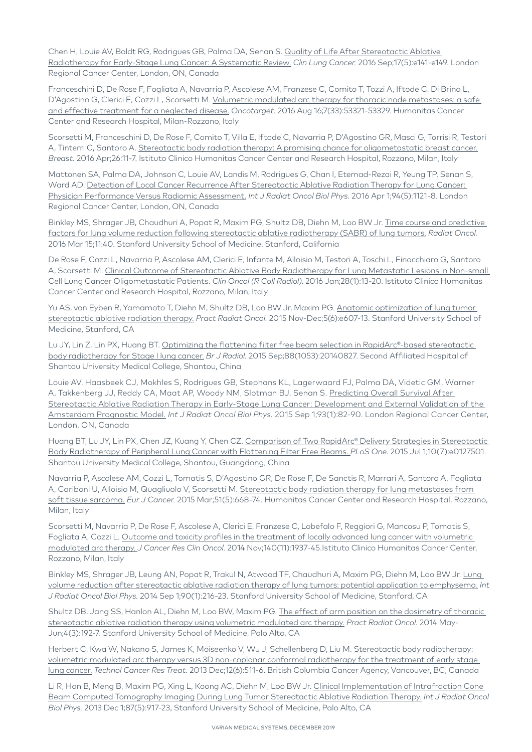Chen H, Louie AV, Boldt RG, Rodrigues GB, Palma DA, Senan S. Quality of Life After Stereotactic Ablative [Radiotherapy for Early-Stage Lung Cancer: A Systematic Review.](https://www.ncbi.nlm.nih.gov/pubmed/26791542) *Clin Lung Cancer.* 2016 Sep;17(5):e141-e149. London Regional Cancer Center, London, ON, Canada

Franceschini D, De Rose F, Fogliata A, Navarria P, Ascolese AM, Franzese C, Comito T, Tozzi A, Iftode C, Di Brina L, D'Agostino G, Clerici E, Cozzi L, Scorsetti M. Volumetric modulated arc therapy for thoracic node metastases: a safe [and effective treatment for a neglected disease.](http://www.ncbi.nlm.nih.gov/pubmed/27462869) *Oncotarget.* 2016 Aug 16;7(33):53321-53329. Humanitas Cancer Center and Research Hospital, Milan-Rozzano, Italy

Scorsetti M, Franceschini D, De Rose F, Comito T, Villa E, Iftode C, Navarria P, D'Agostino GR, Masci G, Torrisi R, Testori A, Tinterri C, Santoro A. [Stereotactic body radiation therapy: A promising chance for oligometastatic breast cancer.](http://www.ncbi.nlm.nih.gov/pubmed/27017237) *Breast.* 2016 Apr;26:11-7. Istituto Clinico Humanitas Cancer Center and Research Hospital, Rozzano, Milan, Italy

Mattonen SA, Palma DA, Johnson C, Louie AV, Landis M, Rodrigues G, Chan I, Etemad-Rezai R, Yeung TP, Senan S, Ward AD. [Detection of Local Cancer Recurrence After Stereotactic Ablative Radiation Therapy for Lung Cancer:](https://www.ncbi.nlm.nih.gov/pubmed/26907916)  [Physician Performance Versus Radiomic Assessment.](https://www.ncbi.nlm.nih.gov/pubmed/26907916) *Int J Radiat Oncol Biol Phys.* 2016 Apr 1;94(5):1121-8. London Regional Cancer Center, London, ON, Canada

Binkley MS, Shrager JB, Chaudhuri A, Popat R, Maxim PG, Shultz DB, Diehn M, Loo BW Jr. [Time course and predictive](https://www.ncbi.nlm.nih.gov/pubmed/26975700)  [factors for lung volume reduction following stereotactic ablative radiotherapy \(SABR\) of lung tumors.](https://www.ncbi.nlm.nih.gov/pubmed/26975700) *Radiat Oncol.* 2016 Mar 15;11:40. Stanford University School of Medicine, Stanford, California

De Rose F, Cozzi L, Navarria P, Ascolese AM, Clerici E, Infante M, Alloisio M, Testori A, Toschi L, Finocchiaro G, Santoro A, Scorsetti M. [Clinical Outcome of Stereotactic Ablative Body Radiotherapy for Lung Metastatic Lesions in Non-small](http://www.ncbi.nlm.nih.gov/pubmed/26385822)  [Cell Lung Cancer Oligometastatic Patients.](http://www.ncbi.nlm.nih.gov/pubmed/26385822) *Clin Oncol (R Coll Radiol)*. 2016 Jan;28(1):13-20. Istituto Clinico Humanitas Cancer Center and Research Hospital, Rozzano, Milan, Italy

Yu AS, von Eyben R, Yamamoto T, Diehn M, Shultz DB, Loo BW Jr, Maxim PG. Anatomic optimization of lung tumor [stereotactic ablative radiation therapy.](http://www.ncbi.nlm.nih.gov/pubmed/26231596) *Pract Radiat Oncol.* 2015 Nov-Dec;5(6):e607-13. Stanford University School of Medicine, Stanford, CA

Lu JY, Lin Z, Lin PX, Huang BT. Optimizing the flattening filter free beam selection in RapidArc®-based stereotactic [body radiotherapy for Stage I lung cancer.](http://www.ncbi.nlm.nih.gov/pubmed/26133073) *Br J Radiol.* 2015 Sep;88(1053):20140827. Second Affiliated Hospital of Shantou University Medical College, Shantou, China

Louie AV, Haasbeek CJ, Mokhles S, Rodrigues GB, Stephans KL, Lagerwaard FJ, Palma DA, Videtic GM, Warner A, Takkenberg JJ, Reddy CA, Maat AP, Woody NM, Slotman BJ, Senan S. [Predicting Overall Survival After](https://www.ncbi.nlm.nih.gov/pubmed/26138912)  [Stereotactic Ablative Radiation Therapy in Early-Stage Lung Cancer: Development and External Validation of the](https://www.ncbi.nlm.nih.gov/pubmed/26138912)  [Amsterdam Prognostic Model.](https://www.ncbi.nlm.nih.gov/pubmed/26138912) *Int J Radiat Oncol Biol Phys.* 2015 Sep 1;93(1):82-90. London Regional Cancer Center, London, ON, Canada

Huang BT, Lu JY, Lin PX, Chen JZ, Kuang Y, Chen CZ. Comparison of Two RapidArc® Delivery Strategies in Stereotactic [Body Radiotherapy of Peripheral Lung Cancer with Flattening Filter Free Beams.](http://www.ncbi.nlm.nih.gov/pubmed/26131554) *PLoS One.* 2015 Jul 1;10(7):e0127501. Shantou University Medical College, Shantou, Guangdong, China

Navarria P, Ascolese AM, Cozzi L, Tomatis S, D'Agostino GR, De Rose F, De Sanctis R, Marrari A, Santoro A, Fogliata A, Cariboni U, Alloisio M, Quagliuolo V, Scorsetti M. [Stereotactic body radiation therapy for lung metastases from](http://www.ncbi.nlm.nih.gov/pubmed/25686482)  [soft tissue sarcoma.](http://www.ncbi.nlm.nih.gov/pubmed/25686482) *Eur J Cancer.* 2015 Mar;51(5):668-74. Humanitas Cancer Center and Research Hospital, Rozzano, Milan, Italy

Scorsetti M, Navarria P, De Rose F, Ascolese A, Clerici E, Franzese C, Lobefalo F, Reggiori G, Mancosu P, Tomatis S, Fogliata A, Cozzi L. [Outcome and toxicity profiles in the treatment of locally advanced lung cancer with volumetric](http://www.ncbi.nlm.nih.gov/pubmed/24934724)  [modulated arc therapy.](http://www.ncbi.nlm.nih.gov/pubmed/24934724) *J Cancer Res Clin Oncol.* 2014 Nov;140(11):1937-45.Istituto Clinico Humanitas Cancer Center, Rozzano, Milan, Italy

Binkley MS, Shrager JB, Leung AN, Popat R, Trakul N, Atwood TF, Chaudhuri A, Maxim PG, Diehn M, Loo BW Jr. [Lung](https://www.ncbi.nlm.nih.gov/pubmed/25015205)  [volume reduction after stereotactic ablative radiation therapy of lung tumors: potential application to emphysema.](https://www.ncbi.nlm.nih.gov/pubmed/25015205) *Int J Radiat Oncol Biol Phys.* 2014 Sep 1;90(1):216-23. Stanford University School of Medicine, Stanford, CA

Shultz DB, Jang SS, Hanlon AL, Diehn M, Loo BW, Maxim PG. [The effect of arm position on the dosimetry of thoracic](http://www.ncbi.nlm.nih.gov/pubmed/24766687)  [stereotactic ablative radiation therapy using volumetric modulated arc therapy.](http://www.ncbi.nlm.nih.gov/pubmed/24766687) *Pract Radiat Oncol.* 2014 May-Jun;4(3):192-7. Stanford University School of Medicine, Palo Alto, CA

Herbert C, Kwa W, Nakano S, James K, Moiseenko V, Wu J, Schellenberg D, Liu M. [Stereotactic body radiotherapy:](http://www.ncbi.nlm.nih.gov/pubmed/23617285)  [volumetric modulated arc therapy versus 3D non-coplanar conformal radiotherapy for the treatment of early stage](http://www.ncbi.nlm.nih.gov/pubmed/23617285)  [lung cancer.](http://www.ncbi.nlm.nih.gov/pubmed/23617285) *Technol Cancer Res Treat.* 2013 Dec;12(6):511-6. British Columbia Cancer Agency, Vancouver, BC, Canada

Li R, Han B, Meng B, Maxim PG, Xing L, Koong AC, Diehn M, Loo BW Jr. [Clinical Implementation of Intrafraction Cone](http://www.ncbi.nlm.nih.gov/pubmed/24113060)  [Beam Computed Tomography Imaging During Lung Tumor Stereotactic Ablative Radiation Therapy.](http://www.ncbi.nlm.nih.gov/pubmed/24113060) *Int J Radiat Oncol Biol Phys.* 2013 Dec 1;87(5):917-23, Stanford University School of Medicine, Palo Alto, CA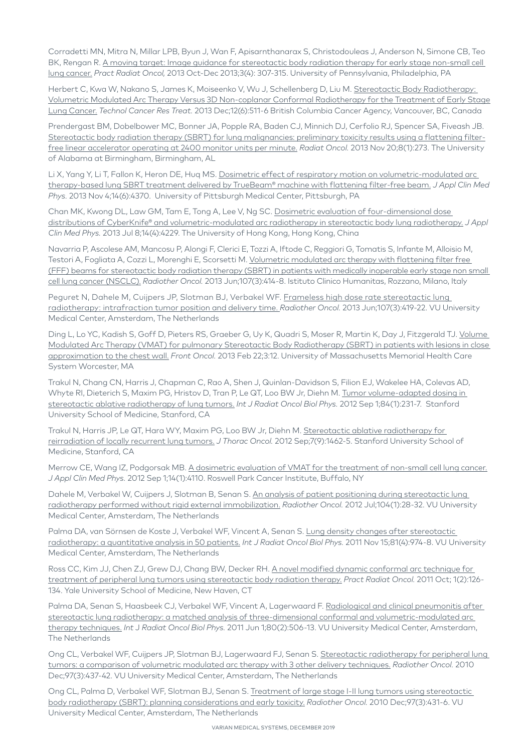Corradetti MN, Mitra N, Millar LPB, Byun J, Wan F, Apisarnthanarax S, Christodouleas J, Anderson N, Simone CB, Teo BK, Rengan R. [A moving target: Image guidance for stereotactic body radiation therapy for early stage non-small cell](http://www.ncbi.nlm.nih.gov/pubmed/24674403)  [lung cancer.](http://www.ncbi.nlm.nih.gov/pubmed/24674403) *Pract Radiat Oncol,* 2013 Oct-Dec 2013;3(4): 307-315. University of Pennsylvania, Philadelphia, PA

Herbert C, Kwa W, Nakano S, James K, Moiseenko V, Wu J, Schellenberg D, Liu M. [Stereotactic Body Radiotherapy:](Stereotactic Body Radiotherapy: Volumetric Modulated Arc Therapy Versus 3D Non-coplanar Conformal Radiotherapy for the Treatment of Early Stage Lung Cancer.)  [Volumetric Modulated Arc Therapy Versus 3D Non-coplanar Conformal Radiotherapy for the Treatment of Early Stage](Stereotactic Body Radiotherapy: Volumetric Modulated Arc Therapy Versus 3D Non-coplanar Conformal Radiotherapy for the Treatment of Early Stage Lung Cancer.)  [Lung Cancer.](Stereotactic Body Radiotherapy: Volumetric Modulated Arc Therapy Versus 3D Non-coplanar Conformal Radiotherapy for the Treatment of Early Stage Lung Cancer.) *Technol Cancer Res Treat.* 2013 Dec;12(6):511-6 British Columbia Cancer Agency, Vancouver, BC, Canada

Prendergast BM, Dobelbower MC, Bonner JA, Popple RA, Baden CJ, Minnich DJ, Cerfolio RJ, Spencer SA, Fiveash JB. [Stereotactic body radiation therapy \(SBRT\) for lung malignancies: preliminary toxicity results using a flattening filter](http://www.ncbi.nlm.nih.gov/pubmed/24256563)[free linear accelerator operating at 2400 monitor units per minute.](http://www.ncbi.nlm.nih.gov/pubmed/24256563) *Radiat Oncol.* 2013 Nov 20;8(1):273. The University of Alabama at Birmingham, Birmingham, AL

Li X, Yang Y, Li T, Fallon K, Heron DE, Huq MS. Dosimetric effect of respiratory motion on volumetric-modulated arc [therapy-based lung SBRT treatment delivered by TrueBeam® machine with flattening filter-free beam.](http://www.ncbi.nlm.nih.gov/pubmed/24257279) *J Appl Clin Med Phys.* 2013 Nov 4;14(6):4370. University of Pittsburgh Medical Center, Pittsburgh, PA

Chan MK, Kwong DL, Law GM, Tam E, Tong A, Lee V, Ng SC. [Dosimetric evaluation of four-dimensional dose](http://www.ncbi.nlm.nih.gov/pubmed/23835388)  [distributions of CyberKnife® and volumetric-modulated arc radiotherapy in stereotactic body lung radiotherapy.](http://www.ncbi.nlm.nih.gov/pubmed/23835388) *J Appl Clin Med Phys.* 2013 Jul 8;14(4):4229. The University of Hong Kong, Hong Kong, China

Navarria P, Ascolese AM, Mancosu P, Alongi F, Clerici E, Tozzi A, Iftode C, Reggiori G, Tomatis S, Infante M, Alloisio M, Testori A, Fogliata A, Cozzi L, Morenghi E, Scorsetti M. Volumetric modulated arc therapy with flattening filter free [\(FFF\) beams for stereotactic body radiation therapy \(SBRT\) in patients with medically inoperable early stage non small](http://www.ncbi.nlm.nih.gov/pubmed/23725859)  [cell lung cancer \(NSCLC\).](http://www.ncbi.nlm.nih.gov/pubmed/23725859) *Radiother Oncol.* 2013 Jun;107(3):414-8. Istituto Clinico Humanitas, Rozzano, Milano, Italy

Peguret N, Dahele M, Cuijpers JP, Slotman BJ, Verbakel WF. [Frameless high dose rate stereotactic lung](http://www.ncbi.nlm.nih.gov/pubmed/23707150)  [radiotherapy: intrafraction tumor position and delivery time.](http://www.ncbi.nlm.nih.gov/pubmed/23707150) *Radiother Oncol.* 2013 Jun;107(3):419-22. VU University Medical Center, Amsterdam, The Netherlands

Ding L, Lo YC, Kadish S, Goff D, Pieters RS, Graeber G, Uy K, Quadri S, Moser R, Martin K, Day J, Fitzgerald TJ. [Volume](http://www.ncbi.nlm.nih.gov/pubmed/23440876)  [Modulated Arc Therapy \(VMAT\) for pulmonary Stereotactic Body Radiotherapy \(SBRT\) in patients with lesions in close](http://www.ncbi.nlm.nih.gov/pubmed/23440876)  [approximation to the chest wall.](http://www.ncbi.nlm.nih.gov/pubmed/23440876) *Front Oncol.* 2013 Feb 22;3:12. University of Massachusetts Memorial Health Care System Worcester, MA

Trakul N, Chang CN, Harris J, Chapman C, Rao A, Shen J, Quinlan-Davidson S, Filion EJ, Wakelee HA, Colevas AD, Whyte RI, Dieterich S, Maxim PG, Hristov D, Tran P, Le QT, Loo BW Jr, Diehn M. Tumor volume-adapted dosing in [stereotactic ablative radiotherapy of lung tumors.](http://www.ncbi.nlm.nih.gov/pubmed/22381907) *Int J Radiat Oncol Biol Phys.* 2012 Sep 1;84(1):231-7. Stanford University School of Medicine, Stanford, CA

Trakul N, Harris JP, Le QT, Hara WY, Maxim PG, Loo BW Jr, Diehn M. Stereotactic ablative radiotherapy for [reirradiation of locally recurrent lung tumors.](https://www.ncbi.nlm.nih.gov/pubmed/22895143) *J Thorac Oncol.* 2012 Sep;7(9):1462-5. Stanford University School of Medicine, Stanford, CA

Merrow CE, Wang IZ, Podgorsak MB. [A dosimetric evaluation of VMAT for the treatment of non-small cell lung cancer.](http://www.ncbi.nlm.nih.gov/pubmed/23318374) *J Appl Clin Med Phys.* 2012 Sep 1;14(1):4110. Roswell Park Cancer Institute, Buffalo, NY

Dahele M, Verbakel W, Cuijpers J, Slotman B, Senan S. An analysis of patient positioning during stereotactic lung [radiotherapy performed without rigid external immobilization.](http://www.ncbi.nlm.nih.gov/pubmed/22647659) *Radiother Oncol.* 2012 Jul;104(1):28-32. VU University Medical Center, Amsterdam, The Netherlands

Palma DA, van Sörnsen de Koste J, Verbakel WF, Vincent A, Senan S. [Lung density changes after stereotactic](http://www.ncbi.nlm.nih.gov/pubmed/20932655)  [radiotherapy: a quantitative analysis in 50 patients.](http://www.ncbi.nlm.nih.gov/pubmed/20932655) *Int J Radiat Oncol Biol Phys.* 2011 Nov 15;81(4):974-8. VU University Medical Center, Amsterdam, The Netherlands

Ross CC, Kim JJ, Chen ZJ, Grew DJ, Chang BW, Decker RH. A novel modified dynamic conformal arc technique for [treatment of peripheral lung tumors using stereotactic body radiation therapy.](http://www.ncbi.nlm.nih.gov/pubmed/24673926) *Pract Radiat Oncol.* 2011 Oct; 1(2):126- 134. Yale University School of Medicine, New Haven, CT

Palma DA, Senan S, Haasbeek CJ, Verbakel WF, Vincent A, Lagerwaard F. [Radiological and clinical pneumonitis after](http://www.ncbi.nlm.nih.gov/pubmed/20584582)  [stereotactic lung radiotherapy: a matched analysis of three-dimensional conformal and volumetric-modulated arc](http://www.ncbi.nlm.nih.gov/pubmed/20584582)  [therapy techniques.](http://www.ncbi.nlm.nih.gov/pubmed/20584582) *Int* J *Radiat Oncol Biol Phys.* 2011 Jun 1;80(2):506-13. VU University Medical Center, Amsterdam, The Netherlands

Ong CL, Verbakel WF, Cuijpers JP, Slotman BJ, Lagerwaard FJ, Senan S. [Stereotactic radiotherapy for peripheral lung](http://www.ncbi.nlm.nih.gov/pubmed/21074878)  [tumors: a comparison of volumetric modulated arc therapy with 3 other delivery techniques.](http://www.ncbi.nlm.nih.gov/pubmed/21074878) *Radiother Oncol.* 2010 Dec;97(3):437-42. VU University Medical Center, Amsterdam, The Netherlands

Ong CL, Palma D, Verbakel WF, Slotman BJ, Senan S. Treatment of large stage I-II lung tumors using stereotactic [body radiotherapy \(SBRT\): planning considerations and early toxicity.](http://www.ncbi.nlm.nih.gov/pubmed/20971523) *Radiother Oncol.* 2010 Dec;97(3):431-6. VU University Medical Center, Amsterdam, The Netherlands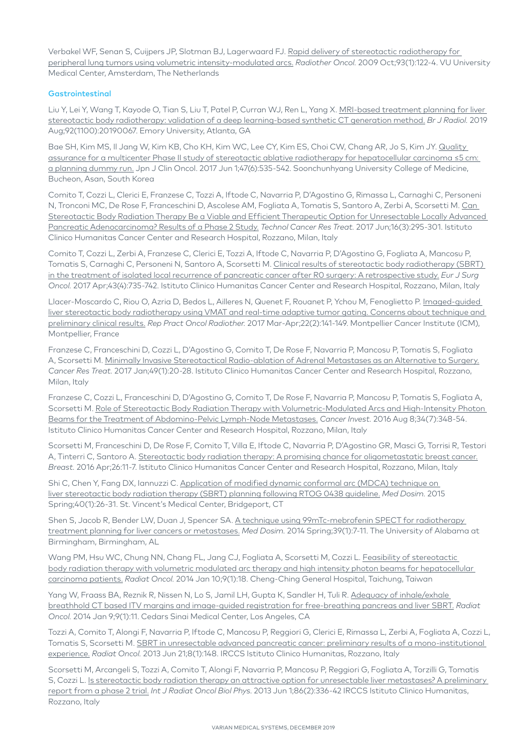Verbakel WF, Senan S, Cuijpers JP, Slotman BJ, Lagerwaard FJ. [Rapid delivery of stereotactic radiotherapy for](http://www.ncbi.nlm.nih.gov/pubmed/19552979)  [peripheral lung tumors using volumetric intensity-modulated arcs.](http://www.ncbi.nlm.nih.gov/pubmed/19552979) *Radiother Oncol.* 2009 Oct;93(1):122-4. VU University Medical Center, Amsterdam, The Netherlands

#### **Gastrointestinal**

Liu Y, Lei Y, Wang T, Kayode O, Tian S, Liu T, Patel P, Curran WJ, Ren L, Yang X. MRI-based treatment planning for liver [stereotactic body radiotherapy: validation of a deep learning-based synthetic CT generation method.](https://www.ncbi.nlm.nih.gov/pubmed/31192695) *Br J Radiol.* 2019 Aug;92(1100):20190067. Emory University, Atlanta, GA

Bae SH, Kim MS, II Jang W, Kim KB, Cho KH, Kim WC, Lee CY, Kim ES, Choi CW, Chang AR, Jo S, Kim JY. Quality [assurance for a multicenter Phase II study of stereotactic ablative radiotherapy for hepatocellular carcinoma ≤5 cm:](https://www.ncbi.nlm.nih.gov/pubmed/28419246)  [a planning dummy run.](https://www.ncbi.nlm.nih.gov/pubmed/28419246) Jpn J Clin Oncol. 2017 Jun 1;47(6):535-542. Soonchunhyang University College of Medicine, Bucheon, Asan, South Korea

Comito T, Cozzi L, Clerici E, Franzese C, Tozzi A, Iftode C, Navarria P, D'Agostino G, Rimassa L, Carnaghi C, Personeni N, Tronconi MC, De Rose F, Franceschini D, Ascolese AM, Fogliata A, Tomatis S, Santoro A, Zerbi A, Scorsetti M. [Can](https://www.ncbi.nlm.nih.gov/pubmed/27311310)  [Stereotactic Body Radiation Therapy Be a Viable and Efficient Therapeutic Option for Unresectable Locally Advanced](https://www.ncbi.nlm.nih.gov/pubmed/27311310)  [Pancreatic Adenocarcinoma? Results of a Phase 2 Study.](https://www.ncbi.nlm.nih.gov/pubmed/27311310) *Technol Cancer Res Treat.* 2017 Jun;16(3):295-301. Istituto Clinico Humanitas Cancer Center and Research Hospital, Rozzano, Milan, Italy

Comito T, Cozzi L, Zerbi A, Franzese C, Clerici E, Tozzi A, Iftode C, Navarria P, D'Agostino G, Fogliata A, Mancosu P, Tomatis S, Carnaghi C, Personeni N, Santoro A, Scorsetti M. [Clinical results of stereotactic body radiotherapy \(SBRT\)](https://www.ncbi.nlm.nih.gov/pubmed/28131670)  [in the treatment of isolated local recurrence of pancreatic cancer after R0 surgery: A retrospective study.](https://www.ncbi.nlm.nih.gov/pubmed/28131670) *Eur J Surg Oncol.* 2017 Apr;43(4):735-742. Istituto Clinico Humanitas Cancer Center and Research Hospital, Rozzano, Milan, Italy

Llacer-Moscardo C, Riou O, Azria D, Bedos L, Ailleres N, Quenet F, Rouanet P, Ychou M, Fenoglietto P. Imaged-guided [liver stereotactic body radiotherapy using VMAT and real-time adaptive tumor gating. Concerns about technique and](https://www.ncbi.nlm.nih.gov/pubmed/28490985)  [preliminary clinical results.](https://www.ncbi.nlm.nih.gov/pubmed/28490985) *Rep Pract Oncol Radiother.* 2017 Mar-Apr;22(2):141-149. Montpellier Cancer Institute (ICM), Montpellier, France

Franzese C, Franceschini D, Cozzi L, D'Agostino G, Comito T, De Rose F, Navarria P, Mancosu P, Tomatis S, Fogliata A, Scorsetti M. [Minimally Invasive Stereotactical Radio-ablation of Adrenal Metastases as an Alternative to Surgery.](http://www.ncbi.nlm.nih.gov/pubmed/27121718) *Cancer Res Treat.* 2017 Jan;49(1):20-28. Istituto Clinico Humanitas Cancer Center and Research Hospital, Rozzano, Milan, Italy

Franzese C, Cozzi L, Franceschini D, D'Agostino G, Comito T, De Rose F, Navarria P, Mancosu P, Tomatis S, Fogliata A, Scorsetti M. [Role of Stereotactic Body Radiation Therapy with Volumetric-Modulated Arcs and High-Intensity Photon](http://www.ncbi.nlm.nih.gov/pubmed/27414125)  [Beams for the Treatment of Abdomino-Pelvic Lymph-Node Metastases.](http://www.ncbi.nlm.nih.gov/pubmed/27414125) *Cancer Invest.* 2016 Aug 8;34(7):348-54. Istituto Clinico Humanitas Cancer Center and Research Hospital, Rozzano, Milan, Italy

Scorsetti M, Franceschini D, De Rose F, Comito T, Villa E, Iftode C, Navarria P, D'Agostino GR, Masci G, Torrisi R, Testori A, Tinterri C, Santoro A. [Stereotactic body radiation therapy: A promising chance for oligometastatic breast cancer.](http://www.ncbi.nlm.nih.gov/pubmed/27017237) *Breast.* 2016 Apr;26:11-7. Istituto Clinico Humanitas Cancer Center and Research Hospital, Rozzano, Milan, Italy

Shi C, Chen Y, Fang DX, Iannuzzi C. [Application of modified dynamic conformal arc \(MDCA\) technique on](http://www.ncbi.nlm.nih.gov/pubmed/25172164)  [liver stereotactic body radiation therapy \(SBRT\) planning following RTOG 0438 guideline.](http://www.ncbi.nlm.nih.gov/pubmed/25172164) *Med Dosim.* 2015 Spring;40(1):26-31. St. Vincent's Medical Center, Bridgeport, CT

Shen S, Jacob R, Bender LW, Duan J, Spencer SA. A technique using 99mTc-mebrofenin SPECT for radiotherapy [treatment planning for liver cancers or metastases.](http://www.ncbi.nlm.nih.gov/pubmed/24094571) *Med Dosim.* 2014 Spring;39(1):7-11. The University of Alabama at Birmingham, Birmingham, AL

Wang PM, Hsu WC, Chung NN, Chang FL, Jang CJ, Fogliata A, Scorsetti M, Cozzi L. Feasibility of stereotactic [body radiation therapy with volumetric modulated arc therapy and high intensity photon beams for hepatocellular](http://www.ncbi.nlm.nih.gov/pubmed/24410988)  [carcinoma patients.](http://www.ncbi.nlm.nih.gov/pubmed/24410988) *Radiat Oncol.* 2014 Jan 10;9(1):18. Cheng-Ching General Hospital, Taichung, Taiwan

Yang W, Fraass BA, Reznik R, Nissen N, Lo S, Jamil LH, Gupta K, Sandler H, Tuli R. Adequacy of inhale/exhale [breathhold CT based ITV margins and image-guided registration for free-breathing pancreas and liver SBRT.](http://www.ncbi.nlm.nih.gov/pubmed/24401365) *Radiat Oncol.* 2014 Jan 9;9(1):11. Cedars Sinai Medical Center, Los Angeles, CA

Tozzi A, Comito T, Alongi F, Navarria P, Iftode C, Mancosu P, Reggiori G, Clerici E, Rimassa L, Zerbi A, Fogliata A, Cozzi L, Tomatis S, Scorsetti M. [SBRT in unresectable advanced pancreatic cancer: preliminary results of a mono-institutional](http://www.ncbi.nlm.nih.gov/pubmed/23799996)  [experience.](http://www.ncbi.nlm.nih.gov/pubmed/23799996) *Radiat Oncol.* 2013 Jun 21;8(1):148. IRCCS Istituto Clinico Humanitas, Rozzano, Italy

Scorsetti M, Arcangeli S, Tozzi A, Comito T, Alongi F, Navarria P, Mancosu P, Reggiori G, Fogliata A, Torzilli G, Tomatis S, Cozzi L. [Is stereotactic body radiation therapy an attractive option for unresectable liver metastases? A preliminary](http://)  [report from a phase 2 trial.](http://) *Int J Radiat Oncol Biol Phys*. 2013 Jun 1;86(2):336-42 IRCCS Istituto Clinico Humanitas, Rozzano, Italy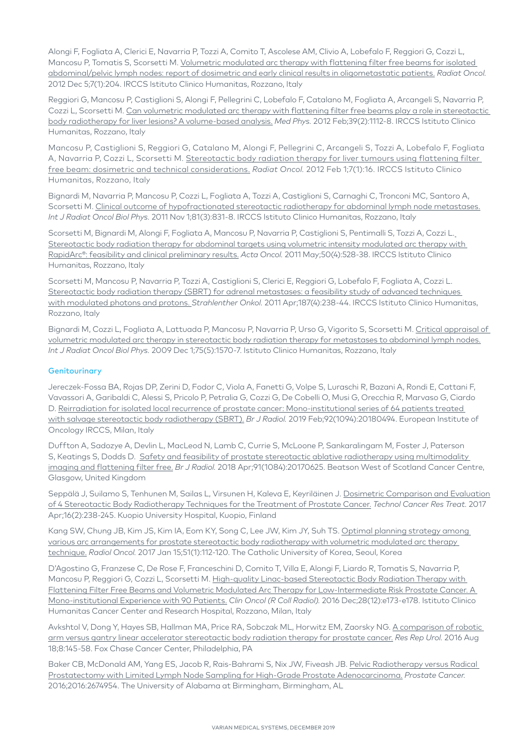Alongi F, Fogliata A, Clerici E, Navarria P, Tozzi A, Comito T, Ascolese AM, Clivio A, Lobefalo F, Reggiori G, Cozzi L, Mancosu P, Tomatis S, Scorsetti M. [Volumetric modulated arc therapy with flattening filter free beams for isolated](http://www.ncbi.nlm.nih.gov/pubmed/23216821)  [abdominal/pelvic lymph nodes: report of dosimetric and early clinical results in oligometastatic patients.](http://www.ncbi.nlm.nih.gov/pubmed/23216821) *Radiat Oncol.* 2012 Dec 5;7(1):204. IRCCS Istituto Clinico Humanitas, Rozzano, Italy

Reggiori G, Mancosu P, Castiglioni S, Alongi F, Pellegrini C, Lobefalo F, Catalano M, Fogliata A, Arcangeli S, Navarria P, Cozzi L, Scorsetti M. Can volumetric modulated arc therapy with flattening filter free beams play a role in stereotactic [body radiotherapy for liver lesions? A volume-based analysis.](http://www.ncbi.nlm.nih.gov/pubmed/22320821) *Med Phys.* 2012 Feb;39(2):1112-8. IRCCS Istituto Clinico Humanitas, Rozzano, Italy

Mancosu P, Castiglioni S, Reggiori G, Catalano M, Alongi F, Pellegrini C, Arcangeli S, Tozzi A, Lobefalo F, Fogliata A, Navarria P, Cozzi L, Scorsetti M. Stereotactic body radiation therapy for liver tumours using flattening filter [free beam: dosimetric and technical considerations.](http://www.ncbi.nlm.nih.gov/pubmed/22296849) *Radiat Oncol.* 2012 Feb 1;7(1):16. IRCCS Istituto Clinico Humanitas, Rozzano, Italy

Bignardi M, Navarria P, Mancosu P, Cozzi L, Fogliata A, Tozzi A, Castiglioni S, Carnaghi C, Tronconi MC, Santoro A, Scorsetti M. [Clinical outcome of hypofractionated stereotactic radiotherapy for abdominal lymph node metastases.](http://www.ncbi.nlm.nih.gov/pubmed/20800375) *Int J Radiat Oncol Biol Phys.* 2011 Nov 1;81(3):831-8. IRCCS Istituto Clinico Humanitas, Rozzano, Italy

Scorsetti M, Bignardi M, Alongi F, Fogliata A, Mancosu P, Navarria P, Castiglioni S, Pentimalli S, Tozzi A, Cozzi L. [Stereotactic body radiation therapy for abdominal targets using volumetric intensity modulated arc therapy with](http://www.ncbi.nlm.nih.gov/pubmed/21338272)  [RapidArc®: feasibility and clinical preliminary results.](http://www.ncbi.nlm.nih.gov/pubmed/21338272) *Acta Oncol.* 2011 May;50(4):528-38. IRCCS Istituto Clinico Humanitas, Rozzano, Italy

Scorsetti M, Mancosu P, Navarria P, Tozzi A, Castiglioni S, Clerici E, Reggiori G, Lobefalo F, Fogliata A, Cozzi L. [Stereotactic body radiation therapy \(SBRT\) for adrenal metastases: a feasibility study of advanced techniques](http://www.ncbi.nlm.nih.gov/pubmed/21437767)  [with modulated photons and protons.](http://www.ncbi.nlm.nih.gov/pubmed/21437767) *Strahlenther Onkol.* 2011 Apr;187(4):238-44. IRCCS Istituto Clinico Humanitas, Rozzano, Italy

Bignardi M, Cozzi L, Fogliata A, Lattuada P, Mancosu P, Navarria P, Urso G, Vigorito S, Scorsetti M. [Critical appraisal of](http://www.ncbi.nlm.nih.gov/pubmed/19880261)  [volumetric modulated arc therapy in stereotactic body radiation therapy for metastases to abdominal lymph nodes.](http://www.ncbi.nlm.nih.gov/pubmed/19880261) *Int J Radiat Oncol Biol Phys.* 2009 Dec 1;75(5):1570-7. Istituto Clinico Humanitas, Rozzano, Italy

### **Genitourinary**

Jereczek-Fossa BA, Rojas DP, Zerini D, Fodor C, Viola A, Fanetti G, Volpe S, Luraschi R, Bazani A, Rondi E, Cattani F, Vavassori A, Garibaldi C, Alessi S, Pricolo P, Petralia G, Cozzi G, De Cobelli O, Musi G, Orecchia R, Marvaso G, Ciardo D. [Reirradiation for isolated local recurrence of prostate cancer: Mono-institutional series of 64 patients treated](https://www.ncbi.nlm.nih.gov/pubmed/30379566)  [with salvage stereotactic body radiotherapy \(SBRT\).](https://www.ncbi.nlm.nih.gov/pubmed/30379566) *Br J Radiol.* 2019 Feb;92(1094):20180494. European Institute of Oncology IRCCS, Milan, Italy

Duffton A, Sadozye A, Devlin L, MacLeod N, Lamb C, Currie S, McLoone P, Sankaralingam M, Foster J, Paterson S, Keatings S, Dodds D. Safety and feasibility of prostate stereotactic ablative radiotherapy using multimodality [imaging and flattening filter free.](https://www.ncbi.nlm.nih.gov/pubmed/29338305) *Br J Radiol.* 2018 Apr;91(1084):20170625. Beatson West of Scotland Cancer Centre, Glasgow, United Kingdom

Seppälä J, Suilamo S, Tenhunen M, Sailas L, Virsunen H, Kaleva E, Keyriläinen J. [Dosimetric Comparison and Evaluation](https://www.ncbi.nlm.nih.gov/pubmed/28279147)  [of 4 Stereotactic Body Radiotherapy Techniques for the Treatment of Prostate Cancer.](https://www.ncbi.nlm.nih.gov/pubmed/28279147) *Technol Cancer Res Treat.* 2017 Apr;16(2):238-245. Kuopio University Hospital, Kuopio, Finland

Kang SW, Chung JB, Kim JS, Kim IA, Eom KY, Song C, Lee JW, Kim JY, Suh TS. [Optimal planning strategy among](https://www.ncbi.nlm.nih.gov/pmc/articles/PMC5330172/)  [various arc arrangements for prostate stereotactic body radiotherapy with volumetric modulated arc therapy](https://www.ncbi.nlm.nih.gov/pmc/articles/PMC5330172/)  [technique.](https://www.ncbi.nlm.nih.gov/pmc/articles/PMC5330172/) *Radiol Oncol.* 2017 Jan 15;51(1):112-120. The Catholic University of Korea, Seoul, Korea

D'Agostino G, Franzese C, De Rose F, Franceschini D, Comito T, Villa E, Alongi F, Liardo R, Tomatis S, Navarria P, Mancosu P, Reggiori G, Cozzi L, Scorsetti M. [High-quality Linac-based Stereotactic Body Radiation Therapy with](http://www.ncbi.nlm.nih.gov/pubmed/27389021)  [Flattening Filter Free Beams and Volumetric Modulated Arc Therapy for Low-Intermediate Risk Prostate Cancer. A](http://www.ncbi.nlm.nih.gov/pubmed/27389021)  [Mono-institutional Experience with 90 Patients.](http://www.ncbi.nlm.nih.gov/pubmed/27389021) *Clin Oncol (R Coll Radiol).* 2016 Dec;28(12):e173-e178. Istituto Clinico Humanitas Cancer Center and Research Hospital, Rozzano, Milan, Italy

Avkshtol V, Dong Y, Hayes SB, Hallman MA, Price RA, Sobczak ML, Horwitz EM, Zaorsky NG. [A comparison of robotic](http://www.ncbi.nlm.nih.gov/pubmed/27574585)  [arm versus gantry linear accelerator stereotactic body radiation therapy for prostate cancer.](http://www.ncbi.nlm.nih.gov/pubmed/27574585) *Res Rep Urol.* 2016 Aug 18;8:145-58. Fox Chase Cancer Center, Philadelphia, PA

Baker CB, McDonald AM, Yang ES, Jacob R, Rais-Bahrami S, Nix JW, Fiveash JB. [Pelvic Radiotherapy versus Radical](https://www.hindawi.com/journals/pc/2016/2674954/)  [Prostatectomy with Limited Lymph Node Sampling for High-Grade Prostate Adenocarcinoma.](https://www.hindawi.com/journals/pc/2016/2674954/) *Prostate Cancer.*  2016;2016:2674954. The University of Alabama at Birmingham, Birmingham, AL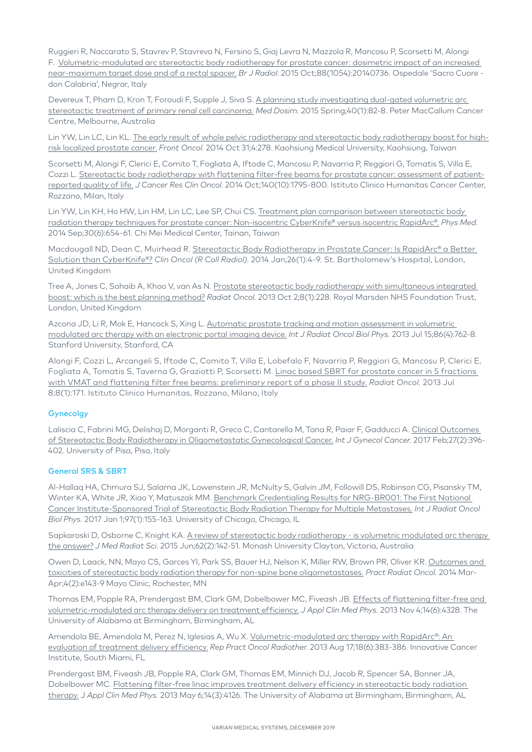Ruggieri R, Naccarato S, Stavrev P, Stavreva N, Fersino S, Giaj Levra N, Mazzola R, Mancosu P, Scorsetti M, Alongi F. [Volumetric-modulated arc stereotactic body radiotherapy for prostate cancer: dosimetric impact of an increased](http://www.ncbi.nlm.nih.gov/pubmed/26235142)  [near-maximum target dose and of a rectal spacer.](http://www.ncbi.nlm.nih.gov/pubmed/26235142) *Br J Radiol*. 2015 Oct;88(1054):20140736. Ospedale 'Sacro Cuore don Calabria', Negrar, Italy

Devereux T, Pham D, Kron T, Foroudi F, Supple J, Siva S. A planning study investigating dual-gated volumetric arc [stereotactic treatment of primary renal cell carcinoma.](https://www.ncbi.nlm.nih.gov/pubmed/25498837) *Med Dosim.* 2015 Spring;40(1):82-8. Peter MacCallum Cancer Centre, Melbourne, Australia

Lin YW, Lin LC, Lin KL. [The early result of whole pelvic radiotherapy and stereotactic body radiotherapy boost for high](http://www.ncbi.nlm.nih.gov/pubmed/25401085)[risk localized prostate cancer.](http://www.ncbi.nlm.nih.gov/pubmed/25401085) *Front Oncol.* 2014 Oct 31;4:278. Kaohsiung Medical University, Kaohsiung, Taiwan

Scorsetti M, Alongi F, Clerici E, Comito T, Fogliata A, Iftode C, Mancosu P, Navarria P, Reggiori G, Tomatis S, Villa E, Cozzi L. [Stereotactic body radiotherapy with flattening filter-free beams for prostate cancer: assessment of patient](http://www.ncbi.nlm.nih.gov/pubmed/24906878)[reported quality of life.](http://www.ncbi.nlm.nih.gov/pubmed/24906878) *J Cancer Res Clin Oncol.* 2014 Oct;140(10):1795-800. Istituto Clinico Humanitas Cancer Center, Rozzano, Milan, Italy

Lin YW, Lin KH, Ho HW, Lin HM, Lin LC, Lee SP, Chui CS. [Treatment plan comparison between stereotactic body](http://www.ncbi.nlm.nih.gov/pubmed/24726212)  [radiation therapy techniques for prostate cancer: Non-isocentric CyberKnife® versus isocentric RapidArc®.](http://www.ncbi.nlm.nih.gov/pubmed/24726212) *Phys Med.* 2014 Sep;30(6):654-61. Chi Mei Medical Center, Tainan, Taiwan

Macdougall ND, Dean C, Muirhead R. Stereotactic Body Radiotherapy in Prostate Cancer: Is RapidArc® a Better [Solution than CyberKnife®?](http://www.ncbi.nlm.nih.gov/pubmed/24071450) *Clin Oncol (R Coll Radiol)*. 2014 Jan;26(1):4-9. St. Bartholomew's Hospital, London, United Kingdom

Tree A, Jones C, Sohaib A, Khoo V, van As N. [Prostate stereotactic body radiotherapy with simultaneous integrated](http://www.ncbi.nlm.nih.gov/pubmed/24088319)  [boost: which is the best planning method?](http://www.ncbi.nlm.nih.gov/pubmed/24088319) *Radiat Oncol.* 2013 Oct 2;8(1):228. Royal Marsden NHS Foundation Trust, London, United Kingdom

Azcona JD, Li R, Mok E, Hancock S, Xing L. [Automatic prostate tracking and motion assessment in volumetric](http://www.ncbi.nlm.nih.gov/pubmed/23608236)  [modulated arc therapy with an electronic portal imaging device.](http://www.ncbi.nlm.nih.gov/pubmed/23608236) *Int J Radiat Oncol Biol Phys.* 2013 Jul 15;86(4):762-8. Stanford University, Stanford, CA

Alongi F, Cozzi L, Arcangeli S, Iftode C, Comito T, Villa E, Lobefalo F, Navarria P, Reggiori G, Mancosu P, Clerici E, Fogliata A, Tomatis S, Taverna G, Graziotti P, Scorsetti M. [Linac based SBRT for prostate cancer in 5 fractions](http://www.ncbi.nlm.nih.gov/pubmed/23835141)  [with VMAT and flattening filter free beams: preliminary report of a phase II study.](http://www.ncbi.nlm.nih.gov/pubmed/23835141) *Radiat Oncol.* 2013 Jul 8;8(1):171. Istituto Clinico Humanitas, Rozzano, Milano, Italy

#### **Gynecolgy**

Laliscia C, Fabrini MG, Delishaj D, Morganti R, Greco C, Cantarella M, Tana R, Paiar F, Gadducci A. [Clinical Outcomes](https://www.ncbi.nlm.nih.gov/pubmed/28114239)  [of Stereotactic Body Radiotherapy in Oligometastatic Gynecological Cancer.](https://www.ncbi.nlm.nih.gov/pubmed/28114239) *Int J Gynecol Cancer.* 2017 Feb;27(2):396- 402. University of Pisa, Pisa, Italy

#### General SRS & SBRT

Al-Hallaq HA, Chmura SJ, Salama JK, Lowenstein JR, McNulty S, Galvin JM, Followill DS, Robinson CG, Pisansky TM, Winter KA, White JR, Xiao Y, Matuszak MM. [Benchmark Credentialing Results for NRG-BR001: The First National](https://www.ncbi.nlm.nih.gov/pubmed/27843033)  [Cancer Institute-Sponsored Trial of Stereotactic Body Radiation Therapy for Multiple Metastases.](https://www.ncbi.nlm.nih.gov/pubmed/27843033) *Int J Radiat Oncol Biol Phys.* 2017 Jan 1;97(1):155-163. University of Chicago, Chicago, IL

Sapkaroski D, Osborne C, Knight KA. A review of stereotactic body radiotherapy - is volumetric modulated arc therapy [the answer?](https://www.ncbi.nlm.nih.gov/pubmed/26229679) *J Med Radiat Sci.* 2015 Jun;62(2):142-51. Monash University Clayton, Victoria, Australia

Owen D, Laack, NN, Mayo CS, Garces YI, Park SS, Bauer HJ, Nelson K, Miller RW, Brown PR, Oliver KR. [Outcomes and](http://www.ncbi.nlm.nih.gov/pubmed/24890360)  [toxicities of stereotactic body radiation therapy for non-spine bone oligometastases.](http://www.ncbi.nlm.nih.gov/pubmed/24890360) *Pract Radiat Oncol.* 2014 Mar-Apr;4(2):e143-9 Mayo Clinic, Rochester, MN

Thomas EM, Popple RA, Prendergast BM, Clark GM, Dobelbower MC, Fiveash JB. Effects of flattening filter-free and [volumetric-modulated arc therapy delivery on treatment efficiency.](http://www.ncbi.nlm.nih.gov/pubmed/24257275) *J Appl Clin Med Phys.* 2013 Nov 4;14(6):4328. The University of Alabama at Birmingham, Birmingham, AL

Amendola BE, Amendola M, Perez N, Iglesias A, Wu X. Volumetric-modulated arc therapy with RapidArc®: An [evaluation of treatment delivery efficiency.](http://www.ncbi.nlm.nih.gov/pubmed/24416583) *Rep Pract Oncol Radiother.* 2013 Aug 17;18(6):383-386. Innovative Cancer Institute, South Miami, FL

Prendergast BM, Fiveash JB, Popple RA, Clark GM, Thomas EM, Minnich DJ, Jacob R, Spencer SA, Bonner JA, Dobelbower MC. [Flattening filter-free linac improves treatment delivery efficiency in stereotactic body radiation](http://www.ncbi.nlm.nih.gov/pubmed/23652246)  [therapy.](http://www.ncbi.nlm.nih.gov/pubmed/23652246) J *Appl Clin Med Phys.* 2013 May 6;14(3):4126. The University of Alabama at Birmingham, Birmingham, AL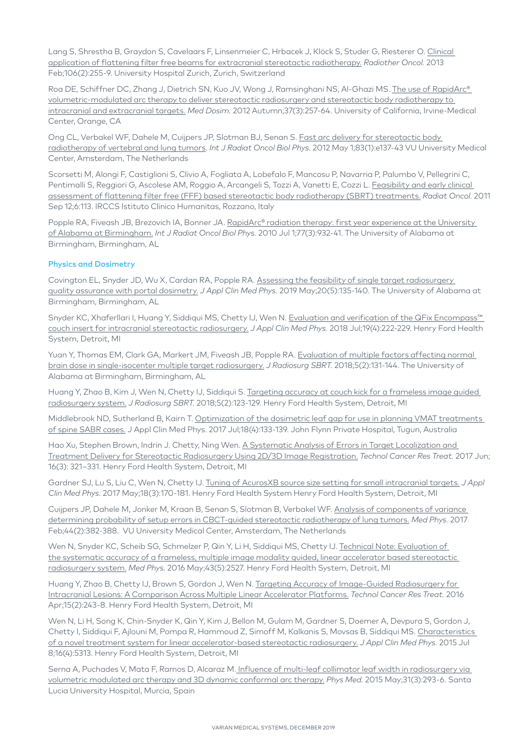Lang S, Shrestha B, Graydon S, Cavelaars F, Linsenmeier C, Hrbacek J, Klöck S, Studer G, Riesterer O. [Clinical](http://www.ncbi.nlm.nih.gov/pubmed/23395063)  [application of flattening filter free beams for extracranial stereotactic radiotherapy.](http://www.ncbi.nlm.nih.gov/pubmed/23395063) *Radiother Oncol.* 2013 Feb;106(2):255-9. University Hospital Zurich, Zurich, Switzerland

Roa DE, Schiffner DC, Zhang J, Dietrich SN, Kuo JV, Wong J, Ramsinghani NS, Al-Ghazi MS. [The use of RapidArc®](http://www.ncbi.nlm.nih.gov/pubmed/22365418)  [volumetric-modulated arc therapy to deliver stereotactic radiosurgery and stereotactic body radiotherapy to](http://www.ncbi.nlm.nih.gov/pubmed/22365418)  [intracranial and extracranial targets.](http://www.ncbi.nlm.nih.gov/pubmed/22365418) *Med Dosim.* 2012 Autumn;37(3):257-64. University of California, Irvine-Medical Center, Orange, CA

Ong CL, Verbakel WF, Dahele M, Cuijpers JP, Slotman BJ, Senan S. Fast arc delivery for stereotactic body [radiotherapy of vertebral and lung tumors.](http://www.ncbi.nlm.nih.gov/pubmed/22365628) *Int J Radiat Oncol Biol Phys.* 2012 May 1;83(1):e137-43 VU University Medical Center, Amsterdam, The Netherlands

Scorsetti M, Alongi F, Castiglioni S, Clivio A, Fogliata A, Lobefalo F, Mancosu P, Navarria P, Palumbo V, Pellegrini C, Pentimalli S, Reggiori G, Ascolese AM, Roggio A, Arcangeli S, Tozzi A, Vanetti E, Cozzi L. [Feasibility and early clinical](http://www.ncbi.nlm.nih.gov/pubmed/21910868)  [assessment of flattening filter free \(FFF\) based stereotactic body radiotherapy \(SBRT\) treatments.](http://www.ncbi.nlm.nih.gov/pubmed/21910868) *Radiat Oncol.* 2011 Sep 12;6:113. IRCCS Istituto Clinico Humanitas, Rozzano, Italy

Popple RA, Fiveash JB, Brezovich IA, Bonner JA. [RapidArc® radiation therapy: first year experience at the University](http://www.ncbi.nlm.nih.gov/pubmed/20207505)  [of Alabama at Birmingham.](http://www.ncbi.nlm.nih.gov/pubmed/20207505) *Int J Radiat Oncol Biol Phys.* 2010 Jul 1;77(3):932-41. The University of Alabama at Birmingham, Birmingham, AL

#### Physics and Dosimetry

Covington EL, Snyder JD, Wu X, Cardan RA, Popple RA. [Assessing the feasibility of single target radiosurgery](https://aapm.onlinelibrary.wiley.com/doi/full/10.1002/acm2.12578)  [quality assurance with portal dosimetry.](https://aapm.onlinelibrary.wiley.com/doi/full/10.1002/acm2.12578) *J Appl Clin Med Phys.* 2019 May;20(5):135-140. The University of Alabama at Birmingham, Birmingham, AL

Snyder KC, Xhaferllari I, Huang Y, Siddiqui MS, Chetty IJ, Wen N. Evaluation and verification of the QFix Encompass™ [couch insert for intracranial stereotactic radiosurgery.](https://www.ncbi.nlm.nih.gov/pubmed/29905000) *J Appl Clin Med Phys.* 2018 Jul;19(4):222-229. Henry Ford Health System, Detroit, MI

Yuan Y, Thomas EM, Clark GA, Markert JM, Fiveash JB, Popple RA. [Evaluation of multiple factors affecting normal](https://www.ncbi.nlm.nih.gov/pubmed/29657894)  [brain dose in single-isocenter multiple target radiosurgery.](https://www.ncbi.nlm.nih.gov/pubmed/29657894) *J Radiosurg SBRT.* 2018;5(2):131-144. The University of Alabama at Birmingham, Birmingham, AL

Huang Y, Zhao B, Kim J, Wen N, Chetty IJ, Siddiqui S. Targeting accuracy at couch kick for a frameless image guided [radiosurgery system.](https://www.ncbi.nlm.nih.gov/pubmed/29657893) *J Radiosurg SBRT.* 2018;5(2):123-129. Henry Ford Health System, Detroit, MI

Middlebrook ND, Sutherland B, Kairn T. [Optimization of the dosimetric leaf gap for use in planning VMAT treatments](https://www.ncbi.nlm.nih.gov/pubmed/28574219)  [of spine SABR cases.](https://www.ncbi.nlm.nih.gov/pubmed/28574219) J Appl Clin Med Phys. 2017 Jul;18(4):133-139. John Flynn Private Hospital, Tugun, Australia

Hao Xu, Stephen Brown, Indrin J. Chetty, Ning Wen. [A Systematic Analysis of Errors in Target Localization and](https://www.ncbi.nlm.nih.gov/pubmed/27582369)  [Treatment Delivery for Stereotactic Radiosurgery Using 2D/3D Image Registration.](https://www.ncbi.nlm.nih.gov/pubmed/27582369) *Technol Cancer Res Treat.* 2017 Jun; 16(3): 321–331. Henry Ford Health System, Detroit, MI

Gardner SJ, Lu S, Liu C, Wen N, Chetty IJ. [Tuning of AcurosXB source size setting for small intracranial targets.](https://www.ncbi.nlm.nih.gov/pubmed/28470819) *J Appl Clin Med Phys.* 2017 May;18(3):170-181. Henry Ford Health System Henry Ford Health System, Detroit, MI

Cuijpers JP, Dahele M, Jonker M, Kraan B, Senan S, Slotman B, Verbakel WF. [Analysis of components of variance](https://www.ncbi.nlm.nih.gov/pubmed/28032895)  [determining probability of setup errors in CBCT-guided stereotactic radiotherapy of lung tumors.](https://www.ncbi.nlm.nih.gov/pubmed/28032895) *Med Phys.* 2017 Feb;44(2):382-388. VU University Medical Center, Amsterdam, The Netherlands

Wen N, Snyder KC, Scheib SG, Schmelzer P, Qin Y, Li H, Siddiqui MS, Chetty IJ. [Technical Note: Evaluation of](http://www.ncbi.nlm.nih.gov/pubmed/?term=Med+Phys.+2016+May%3B43(5)%3A2527)  [the systematic accuracy of a frameless, multiple image modality guided, linear accelerator based stereotactic](http://www.ncbi.nlm.nih.gov/pubmed/?term=Med+Phys.+2016+May%3B43(5)%3A2527)  [radiosurgery system.](http://www.ncbi.nlm.nih.gov/pubmed/?term=Med+Phys.+2016+May%3B43(5)%3A2527) *Med Phys.* 2016 May;43(5):2527. Henry Ford Health System, Detroit, MI

Huang Y, Zhao B, Chetty IJ, Brown S, Gordon J, Wen N. [Targeting Accuracy of Image-Guided Radiosurgery for](http://www.ncbi.nlm.nih.gov/pubmed/?term=Technol+Cancer+Res+Treat.+2016+Apr%3B15(2)%3A243-8.)  [Intracranial Lesions: A Comparison Across Multiple Linear Accelerator Platforms.](http://www.ncbi.nlm.nih.gov/pubmed/?term=Technol+Cancer+Res+Treat.+2016+Apr%3B15(2)%3A243-8.) *Technol Cancer Res Treat.* 2016 Apr;15(2):243-8. Henry Ford Health System, Detroit, MI

Wen N, Li H, Song K, Chin-Snyder K, Qin Y, Kim J, Bellon M, Gulam M, Gardner S, Doemer A, Devpura S, Gordon J, Chetty I, Siddiqui F, Ajlouni M, Pompa R, Hammoud Z, Simoff M, Kalkanis S, Movsas B, Siddiqui MS. [Characteristics](http://www.ncbi.nlm.nih.gov/pubmed/26218998)  [of a novel treatment system for linear accelerator-based stereotactic radiosurgery.](http://www.ncbi.nlm.nih.gov/pubmed/26218998) *J Appl Clin Med Phys.* 2015 Jul 8;16(4):5313. Henry Ford Health System, Detroit, MI

Serna A, Puchades V, Mata F, Ramos D, Alcaraz M[. Influence of multi-leaf collimator leaf width in radiosurgery via](http://www.ncbi.nlm.nih.gov/pubmed/25703035)  [volumetric modulated arc therapy and 3D dynamic conformal arc therapy.](http://www.ncbi.nlm.nih.gov/pubmed/25703035) *Phys Med.* 2015 May;31(3):293-6. Santa Lucia University Hospital, Murcia, Spain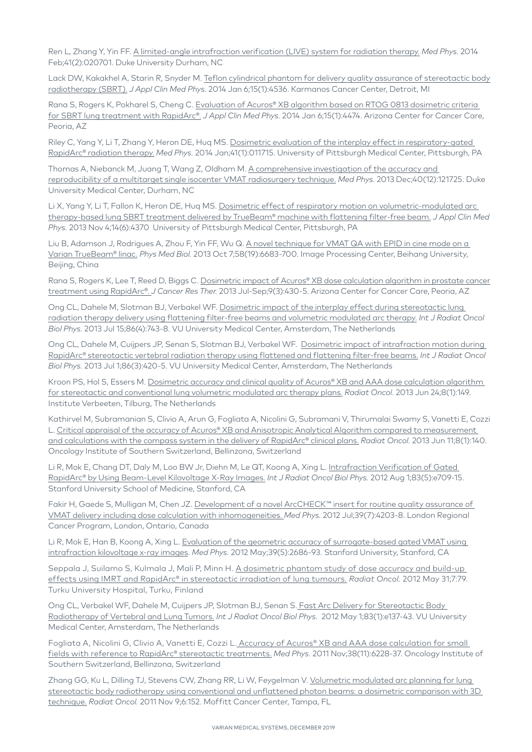Ren L, Zhang Y, Yin FF. [A limited-angle intrafraction verification \(LIVE\) system for radiation therapy.](http://www.ncbi.nlm.nih.gov/pubmed/24506590) *Med Phys.* 2014 Feb;41(2):020701. Duke University Durham, NC

Lack DW, Kakakhel A, Starin R, Snyder M. [Teflon cylindrical phantom for delivery quality assurance of stereotactic body](http://www.ncbi.nlm.nih.gov/pubmed/24423855)  [radiotherapy \(SBRT\).](http://www.ncbi.nlm.nih.gov/pubmed/24423855) *J Appl Clin Med Phys.* 2014 Jan 6;15(1):4536. Karmanos Cancer Center, Detroit, MI

Rana S, Rogers K, Pokharel S, Cheng C. [Evaluation of Acuros® XB algorithm based on RTOG 0813 dosimetric criteria](http://www.ncbi.nlm.nih.gov/pubmed/24423844)  [for SBRT lung treatment with RapidArc®.](http://www.ncbi.nlm.nih.gov/pubmed/24423844) *J Appl Clin Med Phys.* 2014 Jan 6;15(1):4474. Arizona Center for Cancer Care, Peoria, AZ

Riley C, Yang Y, Li T, Zhang Y, Heron DE, Huq MS. [Dosimetric evaluation of the interplay effect in respiratory-gated](http://www.ncbi.nlm.nih.gov/pubmed/24387507)  [RapidArc® radiation therapy.](http://www.ncbi.nlm.nih.gov/pubmed/24387507) *Med Phys.* 2014 Jan;41(1):011715. University of Pittsburgh Medical Center, Pittsburgh, PA

Thomas A, Niebanck M, Juang T, Wang Z, Oldham M. A comprehensive investigation of the accuracy and [reproducibility of a multitarget single isocenter VMAT radiosurgery technique.](http://www.ncbi.nlm.nih.gov/pubmed/24320511) *Med Phys.* 2013 Dec;40(12):121725. Duke University Medical Center, Durham, NC

Li X, Yang Y, Li T, Fallon K, Heron DE, Huq MS. Dosimetric effect of respiratory motion on volumetric-modulated arc [therapy-based lung SBRT treatment delivered by TrueBeam® machine with flattening filter-free beam.](http://www.ncbi.nlm.nih.gov/pubmed/24257279) *J Appl Clin Med Phys.* 2013 Nov 4;14(6):4370 University of Pittsburgh Medical Center, Pittsburgh, PA

Liu B, Adamson J, Rodrigues A, Zhou F, Yin FF, Wu Q. A novel technique for VMAT QA with EPID in cine mode on a [Varian TrueBeam® linac.](http://www.ncbi.nlm.nih.gov/pubmed/24018655) *Phys Med Biol.* 2013 Oct 7;58(19):6683-700. Image Processing Center, Beihang University, Beijing, China

Rana S, Rogers K, Lee T, Reed D, Biggs C, Dosimetric impact of Acuros® XB dose calculation algorithm in prostate cancer [treatment using RapidArc®.](http://www.ncbi.nlm.nih.gov/pubmed/24125978) *J Cancer Res Ther.* 2013 Jul-Sep;9(3):430-5. Arizona Center for Cancer Care, Peoria, AZ

Ong CL, Dahele M, Slotman BJ, Verbakel WF. [Dosimetric impact of the interplay effect during stereotactic lung](http://www.ncbi.nlm.nih.gov/pubmed/23773394)  [radiation therapy delivery using flattening filter-free beams and volumetric modulated arc therapy.](http://www.ncbi.nlm.nih.gov/pubmed/23773394) *Int J Radiat Oncol Biol Phys.* 2013 Jul 15;86(4):743-8. VU University Medical Center, Amsterdam, The Netherlands

Ong CL, Dahele M, Cuijpers JP, Senan S, Slotman BJ, Verbakel WF. [Dosimetric impact of intrafraction motion during](http://www.ncbi.nlm.nih.gov/pubmed/23523183)  [RapidArc® stereotactic vertebral radiation therapy using flattened and flattening filter-free beams.](http://www.ncbi.nlm.nih.gov/pubmed/23523183) *Int J Radiat Oncol Biol Phys.* 2013 Jul 1;86(3):420-5. VU University Medical Center, Amsterdam, The Netherlands

Kroon PS, Hol S, Essers M. Dosimetric accuracy and clinical quality of Acuros® XB and AAA dose calculation algorithm [for stereotactic and conventional lung volumetric modulated arc therapy plans.](http://www.ncbi.nlm.nih.gov/pubmed/23800024) *Radiat Oncol.* 2013 Jun 24;8(1):149. Institute Verbeeten, Tilburg, The Netherlands

Kathirvel M, Subramanian S, Clivio A, Arun G, Fogliata A, Nicolini G, Subramani V, Thirumalai Swamy S, Vanetti E, Cozzi L. [Critical appraisal of the accuracy of Acuros® XB and Anisotropic Analytical Algorithm compared to measurement](http://www.ncbi.nlm.nih.gov/pubmed/23758728)  [and calculations with the compass system in the delivery of RapidArc® clinical plans.](http://www.ncbi.nlm.nih.gov/pubmed/23758728) *Radiat Oncol.* 2013 Jun 11;8(1):140. Oncology Institute of Southern Switzerland, Bellinzona, Switzerland

Li R, Mok E, Chang DT, Daly M, Loo BW Jr, Diehn M, Le QT, Koong A, Xing L. [Intrafraction Verification of Gated](http://www.ncbi.nlm.nih.gov/pubmed/22554582)  [RapidArc® by Using Beam-Level Kilovoltage X-Ray Images.](http://www.ncbi.nlm.nih.gov/pubmed/22554582) *Int J Radiat Oncol Biol Phys.* 2012 Aug 1;83(5):e709-15. Stanford University School of Medicine, Stanford, CA

Fakir H, Gaede S, Mulligan M, Chen JZ. Development of a novel ArcCHECK™ insert for routine quality assurance of [VMAT delivery including dose calculation with inhomogeneities.](http://www.ncbi.nlm.nih.gov/pubmed/22830753) *Med Phys.* 2012 Jul;39(7):4203-8. London Regional Cancer Program, London, Ontario, Canada

Li R, Mok E, Han B, Koong A, Xing L. Evaluation of the geometric accuracy of surrogate-based gated VMAT using [intrafraction kilovoltage x-ray images.](http://www.ncbi.nlm.nih.gov/pubmed/22559639) *Med Phys.* 2012 May;39(5):2686-93. Stanford University, Stanford, CA

Seppala J, Suilamo S, Kulmala J, Mali P, Minn H. A dosimetric phantom study of dose accuracy and build-up [effects using IMRT and RapidArc® in stereotactic irradiation of lung tumours.](http://www.ncbi.nlm.nih.gov/pubmed/22647680) *Radiat Oncol.* 2012 May 31;7:79. Turku University Hospital, Turku, Finland

Ong CL, Verbakel WF, Dahele M, Cuijpers JP, Slotman BJ, Senan S. Fast Arc Delivery for Stereotactic Body [Radiotherapy of Vertebral and Lung Tumors.](http://www.ncbi.nlm.nih.gov/pubmed/22365628) *Int J Radiat Oncol Biol Phys.* 2012 May 1;83(1):e137-43. VU University Medical Center, Amsterdam, The Netherlands

Fogliata A, Nicolini G, Clivio A, Vanetti E, Cozzi L[. Accuracy of Acuros® XB and AAA dose calculation for small](http://www.ncbi.nlm.nih.gov/pubmed/22047388)  [fields with reference to RapidArc® stereotactic treatments.](http://www.ncbi.nlm.nih.gov/pubmed/22047388) *Med Phys.* 2011 Nov;38(11):6228-37. Oncology Institute of Southern Switzerland, Bellinzona, Switzerland

Zhang GG, Ku L, Dilling TJ, Stevens CW, Zhang RR, Li W, Feygelman V. Volumetric modulated arc planning for lung [stereotactic body radiotherapy using conventional and unflattened photon beams: a dosimetric comparison with 3D](http://www.ncbi.nlm.nih.gov/pubmed/22070866)  [technique.](http://www.ncbi.nlm.nih.gov/pubmed/22070866) *Radiat Oncol.* 2011 Nov 9;6:152. Moffitt Cancer Center, Tampa, FL